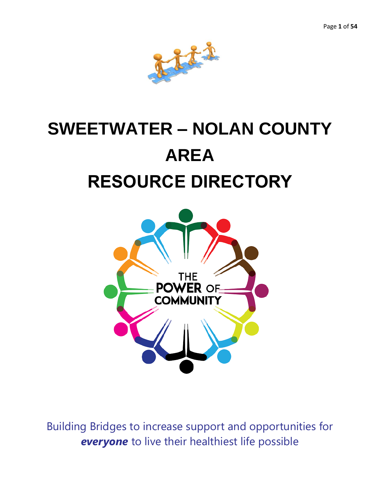

# **SWEETWATER – NOLAN COUNTY AREA RESOURCE DIRECTORY**



Building Bridges to increase support and opportunities for *everyone* to live their healthiest life possible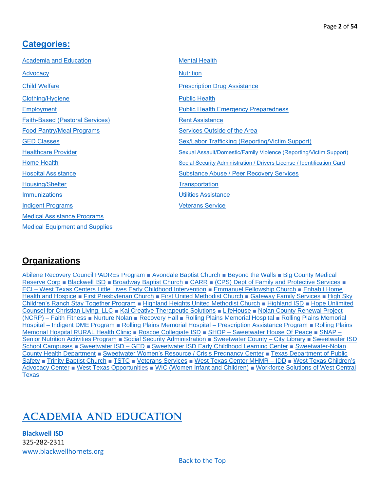### <span id="page-1-0"></span>**[Categories:](#page-1-0)**

| <b>Mental Health</b>                                                   |
|------------------------------------------------------------------------|
| <b>Nutrition</b>                                                       |
| <b>Prescription Drug Assistance</b>                                    |
| <b>Public Health</b>                                                   |
| <b>Public Health Emergency Preparedness</b>                            |
| <b>Rent Assistance</b>                                                 |
| <b>Services Outside of the Area</b>                                    |
| Sex/Labor Trafficking (Reporting/Victim Support)                       |
| Sexual Assault/Domestic/Family Violence (Reporting/Victim Support)     |
| Social Security Administration / Drivers License / Identification Card |
| <b>Substance Abuse / Peer Recovery Services</b>                        |
| Transportation                                                         |
| <b>Utilities Assistance</b>                                            |
| <b>Veterans Service</b>                                                |
|                                                                        |
|                                                                        |
|                                                                        |

### **Organizations**

[Abilene Recovery Council PADREs Program](#page-6-1) ■ [Avondale Baptist Church](#page-17-1) ■ [Beyond the Walls](#page-17-2) ■ [Big County Medical](#page-40-1)  [Reserve Corp](#page-40-1) ■ [Blackwell ISD](#page-1-2) ■ [Broadway Baptist Church](#page-17-3) ■ [CARR](#page-51-1) ■ [\(CPS\) Dept of Family and Protective Services](#page-6-2) ■ ECI – [West Texas Centers Little Lives Early Childhood Intervention](#page-2-0) ■ [Emmanuel Fellowship Church](#page-18-0) ■ [Enhabit](#page-23-0) Home Health [and Hospice](#page-23-0) ■ [First Presbyterian Church](#page-18-1) ■ [First United Methodist Church](#page-18-2) ■ [Gateway Family Services](#page-8-0) ■ [High Sky](#page-2-1)  [Children's Ranch Stay Together Program](#page-2-1) ■ [Highland Heights United Methodist Church](#page-19-0) ■ [Highland ISD](#page-2-2) ■ [Hope Unlimited](#page-3-0)  [Counsel for Christian Living, LLC](#page-3-0) ■ [Kai Creative Therapeutic Solutions](#page-35-0) ■ [LifeHouse](#page-3-1) ■ [Nolan County Renewal Project](#page-19-1) (NCRP) – [Faith Fitness](#page-19-1) ■ [Nurture Nolan](#page-12-0) ■ [Recovery Hall](#page-3-2) ■ [Rolling Plains Memorial Hospital](#page-16-0) ■ [Rolling Plains Memorial](#page-27-0)  Hospital – [Indigent DME Program](#page-27-0) ■ [Rolling Plains Memorial Hospital –](#page-27-1) Prescription Assistance Program ■ [Rolling Plains](#page-24-0)  [Memorial Hospital RURAL Health Clinic](#page-24-0) ■ [Roscoe Collegiate ISD](#page-3-3) ■ SHOP – [Sweetwater House Of Peace](#page-4-0) ■ [SNAP –](#page-21-0) [Senior Nutrition Activities Program](#page-21-0) ■ [Social Security Administration](#page-44-1) ■ [Sweetwater County –](#page-4-1) City Library ■ [Sweetwater ISD](#page-4-2) [School Campuses](#page-4-2) ■ [Sweetwater ISD –](#page-5-0) GED ■ [Sweetwater ISD Early Childhood Learning Center](#page-5-1) ■ [Sweetwater-Nolan](#page-24-1)  [County Health Department](#page-24-1) ■ [Sweetwater Women's Resource](#page-10-1) / Crisis Pregnancy Center ■ [Texas Department of Public](#page-48-1)  [Safety](#page-48-1) ■ [Trinity Baptist Church](#page-20-1) ■ [TSTC](#page-5-2) ■ [Veterans Services](#page-9-0) ■ [West Texas Center MHMR –](#page-5-3) IDD ■ [West Texas Children's](#page-10-2)  [Advocacy Center](#page-10-2) ■ [West Texas Opportuni](#page-43-1)ties ■ [WIC \(Women Infant and Children\)](#page-22-2) ■ [Workforce Solutions of West Central](#page-6-3)  **[Texas](#page-6-3)** 

## <span id="page-1-1"></span>[Academia and Education](#page-1-1)

<span id="page-1-2"></span>**[Blackwell ISD](#page-1-2)** 325-282-2311 [www.blackwellhornets.org](http://www.blackwellhornets.org/)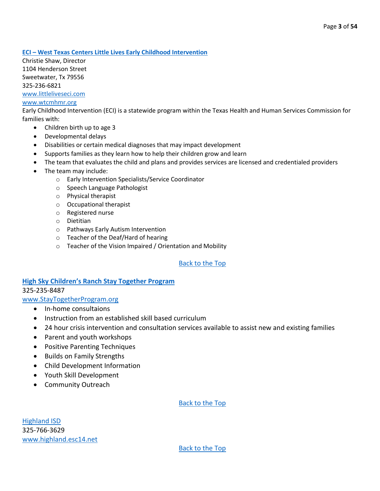#### <span id="page-2-0"></span>**ECI – [West Texas Centers Little Lives Early Childhood Intervention](#page-2-0)**

Christie Shaw, Director 1104 Henderson Street Sweetwater, Tx 79556 325-236-6821 [www.littleliveseci.com](http://www.littleliveseci.com/)

#### [www.wtcmhmr.org](http://www.wtcmhmr.org/)

Early Childhood Intervention (ECI) is a statewide program within the Texas Health and Human Services Commission for families with:

- Children birth up to age 3
- Developmental delays
- Disabilities or certain medical diagnoses that may impact development
- Supports families as they learn how to help their children grow and learn
- The team that evaluates the child and plans and provides services are licensed and credentialed providers
- The team may include:
	- o Early Intervention Specialists/Service Coordinator
	- o Speech Language Pathologist
	- o Physical therapist
	- o Occupational therapist
	- o Registered nurse
	- o Dietitian
	- o Pathways Early Autism Intervention
	- o Teacher of the Deaf/Hard of hearing
	- o Teacher of the Vision Impaired / Orientation and Mobility

#### [Back to the Top](#page-1-0)

#### <span id="page-2-1"></span>**[High Sky Children's Ranch Stay Together Prog](#page-2-1)ram** 325-235-8487

[www.StayTogetherProgram.org](http://www.staytogetherprogram.org/)

- In-home consultaions
- Instruction from an established skill based curriculum
- 24 hour crisis intervention and consultation services available to assist new and existing families
- Parent and youth workshops
- Positive Parenting Techniques
- Builds on Family Strengths
- Child Development Information
- Youth Skill Development
- Community Outreach

#### [Back to the Top](#page-1-0)

<span id="page-2-2"></span>[Highland ISD](#page-2-2) 325-766-3629 [www.highland.esc14.net](http://www.highland.esc14.net/)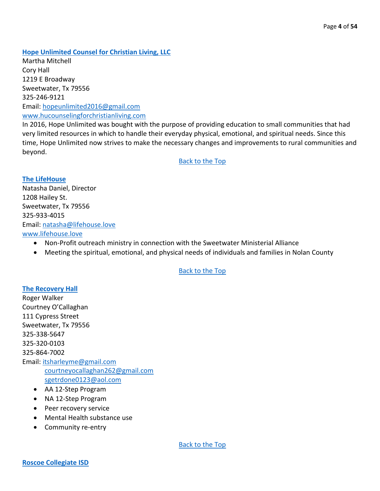<span id="page-3-0"></span>**[Hope Unlimited Counsel for Christian Living, LLC](#page-3-0)**

Martha Mitchell Cory Hall 1219 E Broadway Sweetwater, Tx 79556 325-246-9121 Email: [hopeunlimited2016@gmail.com](mailto:hopeunlimited2016@gmail.com) [www.hucounselingforchristianliving.com](http://www.hucounselingforchristianliving.com/) 

In 2016, Hope Unlimited was bought with the purpose of providing education to small communities that had very limited resources in which to handle their everyday physical, emotional, and spiritual needs. Since this time, Hope Unlimited now strives to make the necessary changes and improvements to rural communities and beyond.

[Back to the Top](#page-1-0)

<span id="page-3-1"></span>**[The LifeHouse](#page-3-1)** Natasha Daniel, Director 1208 Hailey St. Sweetwater, Tx 79556 325-933-4015 Email: [natasha@lifehouse.love](mailto:natasha@lifehouse.love) [www.lifehouse.love](http://www.lifehouse.love/)

- Non-Profit outreach ministry in connection with the Sweetwater Ministerial Alliance
- Meeting the spiritual, emotional, and physical needs of individuals and families in Nolan County

#### [Back to the Top](#page-1-0)

#### <span id="page-3-2"></span>**[The Recovery Hall](#page-3-2)**

Roger Walker Courtney O'Callaghan 111 Cypress Street Sweetwater, Tx 79556 325-338-5647 325-320-0103 325-864-7002 Email: [itsharleyme@gmail.com](mailto:itsharleyme@gmail.com) [courtneyocallaghan262@gmail.com](mailto:courtneyocallaghan262@gmail.com) [sgetrdone0123@aol.com](mailto:sgetrdone0123@aol.com)

- AA 12-Step Program
- NA 12-Step Program
- Peer recovery service
- Mental Health substance use
- <span id="page-3-3"></span>• Community re-entry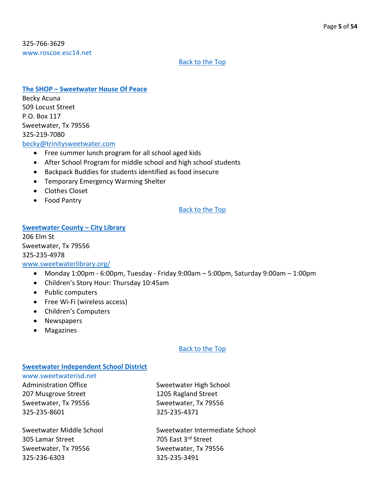325-766-3629 [www.roscoe.esc14.net](http://www.roscoe.esc14.net/)

#### [Back to the Top](#page-1-0)

#### <span id="page-4-0"></span>**The SHOP – [Sweetwater House Of Peace](#page-4-0)**

Becky Acuna 509 Locust Street P.O. Box 117 Sweetwater, Tx 79556 325-219-7080 [becky@trinitysweetwater.com](mailto:becky@trinitysweetwater.com)

- Free summer lunch program for all school aged kids
- After School Program for middle school and high school students
- Backpack Buddies for students identified as food insecure
- Temporary Emergency Warming Shelter
- Clothes Closet
- Food Pantry

#### [Back to the Top](#page-1-0)

#### <span id="page-4-1"></span>**[Sweetwater County](#page-4-1) – City Library**

206 Elm St Sweetwater, Tx 79556 325-235-4978

#### [www.sweetwaterlibrary.org/](http://www.sweetwaterlibrary.org/)

- Monday 1:00pm 6:00pm, Tuesday Friday 9:00am 5:00pm, Saturday 9:00am 1:00pm
- Children's Story Hour: Thursday 10:45am
- Public computers
- Free Wi-Fi (wireless access)
- Children's Computers
- Newspapers
- Magazines

#### [Back to the Top](#page-1-0)

#### <span id="page-4-2"></span>**[Sweetwater Independent School District](#page-4-2)**

[www.sweetwaterisd.net](http://www.sweetwaterisd.net/) Administration Office Sweetwater High School 207 Musgrove Street 1205 Ragland Street Sweetwater, Tx 79556 Sweetwater, Tx 79556 325-235-8601 325-235-4371

305 Lamar Street 705 East 3rd Street Sweetwater, Tx 79556 Sweetwater, Tx 79556 325-236-6303 325-235-3491

Sweetwater Middle School Sweetwater Intermediate School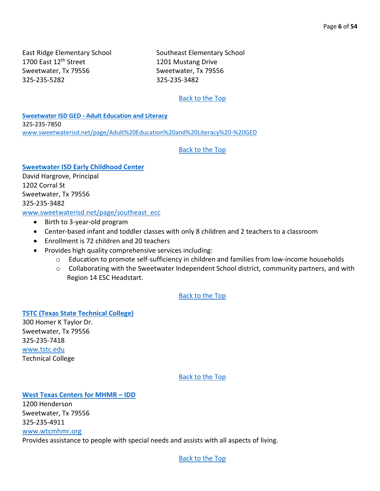1700 East 12<sup>th</sup> Street 1201 Mustang Drive Sweetwater, Tx 79556 Sweetwater, Tx 79556 325-235-5282 325-235-3482

East Ridge Elementary School Southeast Elementary School

#### [Back to the Top](#page-1-0)

<span id="page-5-0"></span>**Sweetwater ISD GED - [Adult Education and Literacy](#page-5-0)** 325-235-7850 [www.sweetwaterisd.net/page/Adult%20Education%20and%20Literacy%20-%20GED](http://www.sweetwaterisd.net/page/Adult%20Education%20and%20Literacy%20-%20GED)

#### [Back to the Top](#page-1-0)

<span id="page-5-1"></span>**Sweetwater ISD [Early Childhood Center](#page-5-1)** David Hargrove, Principal 1202 Corral St Sweetwater, Tx 79556 325-235-3482

[www.sweetwaterisd.net/page/southeast\\_ecc](http://www.sweetwaterisd.net/page/southeast_ecc)

- Birth to 3-year-old program
- Center-based infant and toddler classes with only 8 children and 2 teachers to a classroom
- Enrollment is 72 children and 20 teachers
- Provides high quality comprehensive services including:
	- $\circ$  Education to promote self-sufficiency in children and families from low-income households
	- o Collaborating with the Sweetwater Independent School district, community partners, and with Region 14 ESC Headstart.

[Back to the Top](#page-1-0)

<span id="page-5-2"></span>**[TSTC \(Texas State Technical College\)](#page-5-2)** 300 Homer K Taylor Dr. Sweetwater, Tx 79556 325-235-7418

[www.tstc.edu](http://www.tstc.edu/) Technical College

[Back to the Top](#page-1-0)

#### <span id="page-5-3"></span>**[West Texas Centers for MHMR](#page-5-3) – IDD**

1200 Henderson Sweetwater, Tx 79556 325-235-4911 [www.wtcmhmr.org](http://www.wtcmhmr.org/) Provides assistance to people with special needs and assists with all aspects of living.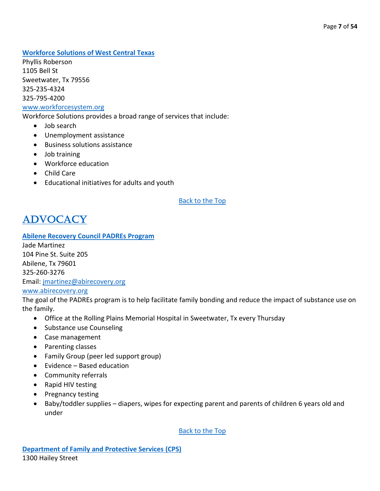<span id="page-6-3"></span>**[Workforce Solutions of West Central Texas](#page-6-3)**

Phyllis Roberson 1105 Bell St Sweetwater, Tx 79556 325-235-4324 325-795-4200

#### [www.workforcesystem.org](http://www.workforcesystem.org/)

Workforce Solutions provides a broad range of services that include:

- Job search
- Unemployment assistance
- Business solutions assistance
- Job training
- Workforce education
- Child Care
- Educational initiatives for adults and youth

#### [Back to the Top](#page-1-0)

### <span id="page-6-0"></span>**ADVOCACY**

#### <span id="page-6-1"></span>**[Abilene Recovery Council PADREs Program](#page-6-1)**

Jade Martinez 104 Pine St. Suite 205 Abilene, Tx 79601 325-260-3276 Email: [jmartinez@abirecovery.org](mailto:jmartinez@abirecovery.org) [www.abirecovery.org](http://www.abirecovery.org/)

The goal of the PADREs program is to help facilitate family bonding and reduce the impact of substance use on the family.

- Office at the Rolling Plains Memorial Hospital in Sweetwater, Tx every Thursday
- Substance use Counseling
- Case management
- Parenting classes
- Family Group (peer led support group)
- Evidence Based education
- Community referrals
- Rapid HIV testing
- Pregnancy testing
- <span id="page-6-2"></span>• Baby/toddler supplies – diapers, wipes for expecting parent and parents of children 6 years old and under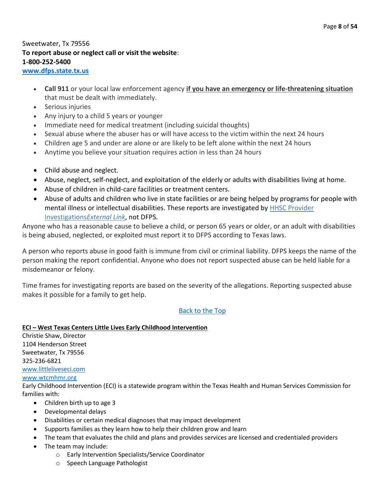### Sweetwater, Tx 79556 **To report abuse or neglect call or visit the website**: **1-800-252-5400**

#### **[www.dfps.state.tx.us](http://www.dfps.state.tx.us/)**

- **Call 911** or your local law enforcement agency **if you have an emergency or life-threatening situation** that must be dealt with immediately.
- Serious injuries
- Any injury to a child 5 years or younger
- Immediate need for medical treatment (including suicidal thoughts)
- Sexual abuse where the abuser has or will have access to the victim within the next 24 hours
- Children age 5 and under are alone or are likely to be left alone within the next 24 hours
- Anytime you believe your situation requires action in less than 24 hours
- Child abuse and neglect.
- Abuse, neglect, self-neglect, and exploitation of the elderly or adults with disabilities living at home.
- Abuse of children in child-care facilities or treatment centers.
- Abuse of adults and children who live in state facilities or are being helped by programs for people with mental illness or intellectual disabilities. These reports are investigated by **HHSC Provider** [Investigations](https://hhs.texas.gov/doing-business-hhs/provider-portals/protective-services-providers/provider-investigations)*External Link*, not DFPS.

Anyone who has a reasonable cause to believe a child, or person 65 years or older, or an adult with disabilities is being abused, neglected, or exploited must report it to DFPS according to Texas laws.

A person who reports abuse in good faith is immune from civil or criminal liability. DFPS keeps the name of the person making the report confidential. Anyone who does not report suspected abuse can be held liable for a misdemeanor or felony.

Time frames for investigating reports are based on the severity of the allegations. Reporting suspected abuse makes it possible for a family to get help.

#### [Back to the Top](#page-1-0)

#### **ECI – West Texas Centers Little Lives Early Childhood Intervention**

Christie Shaw, Director 1104 Henderson Street Sweetwater, Tx 79556 325-236-6821 [www.littleliveseci.com](http://www.littleliveseci.com/)

#### [www.wtcmhmr.org](http://www.wtcmhmr.org/)

Early Childhood Intervention (ECI) is a statewide program within the Texas Health and Human Services Commission for families with:

- Children birth up to age 3
- Developmental delays
- Disabilities or certain medical diagnoses that may impact development
- Supports families as they learn how to help their children grow and learn
- The team that evaluates the child and plans and provides services are licensed and credentialed providers
- The team may include:
	- o Early Intervention Specialists/Service Coordinator
	- o Speech Language Pathologist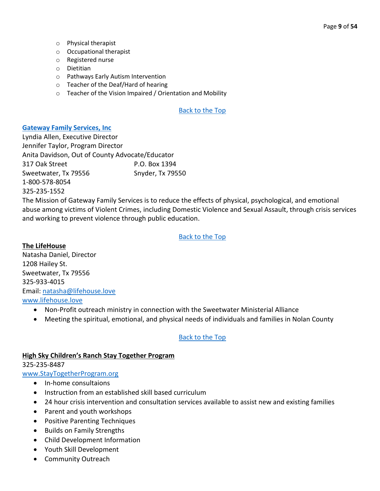- o Physical therapist
- o Occupational therapist
- o Registered nurse
- o Dietitian
- o Pathways Early Autism Intervention
- o Teacher of the Deaf/Hard of hearing
- o Teacher of the Vision Impaired / Orientation and Mobility

#### <span id="page-8-0"></span>**[Gateway Family Services, Inc](#page-8-0)**

Lyndia Allen, Executive Director Jennifer Taylor, Program Director Anita Davidson, Out of County Advocate/Educator 317 Oak Street P.O. Box 1394 Sweetwater, Tx 79556 Snyder, Tx 79550 1-800-578-8054 325-235-1552

The Mission of Gateway Family Services is to reduce the effects of physical, psychological, and emotional abuse among victims of Violent Crimes, including Domestic Violence and Sexual Assault, through crisis services and working to prevent violence through public education.

#### [Back to the Top](#page-1-0)

**The LifeHouse** Natasha Daniel, Director 1208 Hailey St. Sweetwater, Tx 79556 325-933-4015 Email: [natasha@lifehouse.love](mailto:natasha@lifehouse.love)

[www.lifehouse.love](http://www.lifehouse.love/)

- Non-Profit outreach ministry in connection with the Sweetwater Ministerial Alliance
- Meeting the spiritual, emotional, and physical needs of individuals and families in Nolan County

#### [Back to the Top](#page-1-0)

#### **High Sky Children's Ranch Stay Together Program**

325-235-8487

#### [www.StayTogetherProgram.org](http://www.staytogetherprogram.org/)

- In-home consultaions
- Instruction from an established skill based curriculum
- 24 hour crisis intervention and consultation services available to assist new and existing families
- Parent and youth workshops
- Positive Parenting Techniques
- Builds on Family Strengths
- Child Development Information
- Youth Skill Development
- Community Outreach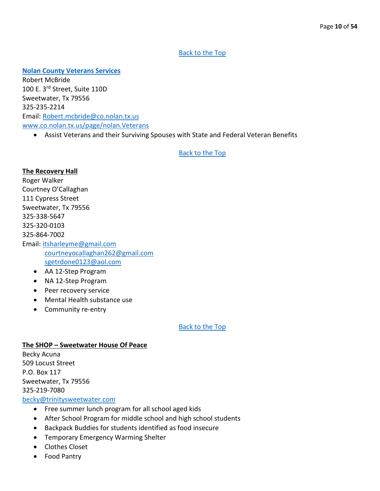#### <span id="page-9-0"></span>**[Nolan County Veterans Services](#page-9-0)**

Robert McBride 100 E. 3rd Street, Suite 110D Sweetwater, Tx 79556 325-235-2214 Email: [Robert.mcbride@co.nolan.tx.us](mailto:Robert.mcbride@co.nolan.tx.us) [www.co.nolan.tx.us/page/nolan.Veterans](http://www.co.nolan.tx.us/page/nolan.Veterans)

• Assist Veterans and their Surviving Spouses with State and Federal Veteran Benefits

#### [Back to the Top](#page-1-0)

#### **The Recovery Hall**

Roger Walker Courtney O'Callaghan 111 Cypress Street Sweetwater, Tx 79556 325-338-5647 325-320-0103 325-864-7002 Email: [itsharleyme@gmail.com](mailto:itsharleyme@gmail.com) [courtneyocallaghan262@gmail.com](mailto:courtneyocallaghan262@gmail.com) [sgetrdone0123@aol.com](mailto:sgetrdone0123@aol.com)

- AA 12-Step Program
- NA 12-Step Program
- Peer recovery service
- Mental Health substance use
- Community re-entry

[Back to the Top](#page-1-0)

#### **The SHOP – Sweetwater House Of Peace**  Becky Acuna 509 Locust Street P.O. Box 117 Sweetwater, Tx 79556 325-219-7080 [becky@trinitysweetwater.com](mailto:becky@trinitysweetwater.com) • Free summer lunch program for all school aged kids

- After School Program for middle school and high school students
- Backpack Buddies for students identified as food insecure
- Temporary Emergency Warming Shelter
- Clothes Closet
- Food Pantry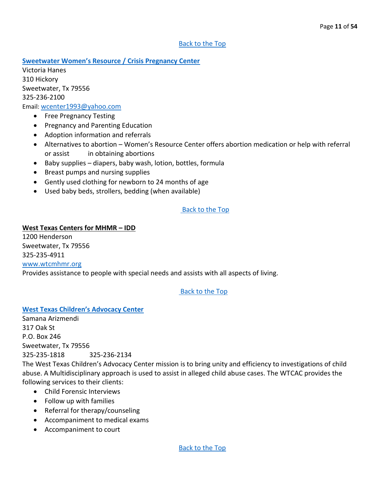<span id="page-10-1"></span>**[Sweetwater Women's Resource / Crisis Pregnancy Center](#page-10-1)**

Victoria Hanes 310 Hickory Sweetwater, Tx 79556 325-236-2100 Email: [wcenter1993@yahoo.com](mailto:wcenter1993@yahoo.com)

- Free Pregnancy Testing
- Pregnancy and Parenting Education
- Adoption information and referrals
- Alternatives to abortion Women's Resource Center offers abortion medication or help with referral or assist in obtaining abortions
- Baby supplies diapers, baby wash, lotion, bottles, formula
- Breast pumps and nursing supplies
- Gently used clothing for newborn to 24 months of age
- Used baby beds, strollers, bedding (when available)

#### [Back to the Top](#page-1-0)

#### **West Texas Centers for MHMR – IDD**

1200 Henderson Sweetwater, Tx 79556 325-235-4911 [www.wtcmhmr.org](http://www.wtcmhmr.org/) Provides assistance to people with special needs and assists with all aspects of living.

#### <span id="page-10-0"></span>[Back to the Top](#page-1-0)

#### <span id="page-10-2"></span>**[West Texas Children's Advocacy Center](#page-10-2)**

Samana Arizmendi 317 Oak St P.O. Box 246 Sweetwater, Tx 79556 325-235-1818 325-236-2134 The West Texas Children's Advocacy Center mission is to bring unity and efficiency to investigations of child abuse. A Multidisciplinary approach is used to assist in alleged child abuse cases. The WTCAC provides the following services to their clients:

- Child Forensic Interviews
- Follow up with families
- Referral for therapy/counseling
- Accompaniment to medical exams
- Accompaniment to court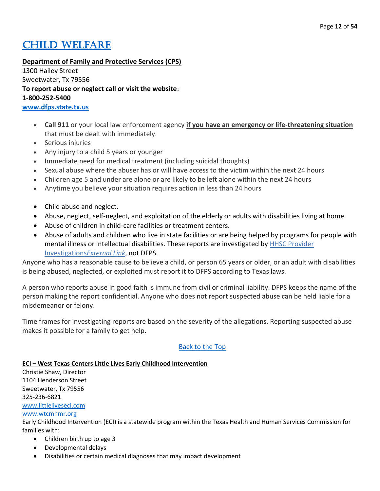### **CHILD WELFARE**

**Department of Family and Protective Services (CPS)**

1300 Hailey Street Sweetwater, Tx 79556 **To report abuse or neglect call or visit the website**: **1-800-252-5400 [www.dfps.state.tx.us](http://www.dfps.state.tx.us/)**

- **Call 911** or your local law enforcement agency **if you have an emergency or life-threatening situation** that must be dealt with immediately.
- Serious injuries
- Any injury to a child 5 years or younger
- Immediate need for medical treatment (including suicidal thoughts)
- Sexual abuse where the abuser has or will have access to the victim within the next 24 hours
- Children age 5 and under are alone or are likely to be left alone within the next 24 hours
- Anytime you believe your situation requires action in less than 24 hours
- Child abuse and neglect.
- Abuse, neglect, self-neglect, and exploitation of the elderly or adults with disabilities living at home.
- Abuse of children in child-care facilities or treatment centers.
- Abuse of adults and children who live in state facilities or are being helped by programs for people with mental illness or intellectual disabilities. These reports are investigated by **HHSC Provider** [Investigations](https://hhs.texas.gov/doing-business-hhs/provider-portals/protective-services-providers/provider-investigations)*External Link*, not DFPS.

Anyone who has a reasonable cause to believe a child, or person 65 years or older, or an adult with disabilities is being abused, neglected, or exploited must report it to DFPS according to Texas laws.

A person who reports abuse in good faith is immune from civil or criminal liability. DFPS keeps the name of the person making the report confidential. Anyone who does not report suspected abuse can be held liable for a misdemeanor or felony.

Time frames for investigating reports are based on the severity of the allegations. Reporting suspected abuse makes it possible for a family to get help.

#### [Back to the Top](#page-1-0)

#### **ECI – West Texas Centers Little Lives Early Childhood Intervention**

Christie Shaw, Director 1104 Henderson Street Sweetwater, Tx 79556 325-236-6821 [www.littleliveseci.com](http://www.littleliveseci.com/)

[www.wtcmhmr.org](http://www.wtcmhmr.org/)

Early Childhood Intervention (ECI) is a statewide program within the Texas Health and Human Services Commission for families with:

- Children birth up to age 3
- Developmental delays
- Disabilities or certain medical diagnoses that may impact development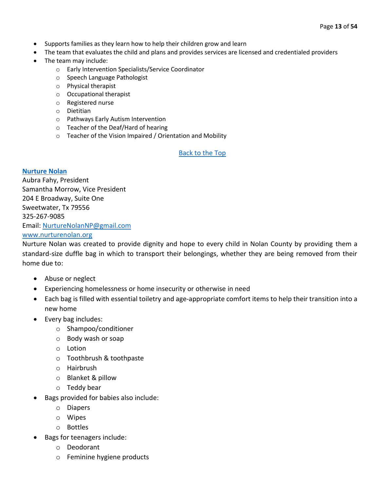- Supports families as they learn how to help their children grow and learn
- The team that evaluates the child and plans and provides services are licensed and credentialed providers
- The team may include:
	- o Early Intervention Specialists/Service Coordinator
	- o Speech Language Pathologist
	- o Physical therapist
	- o Occupational therapist
	- o Registered nurse
	- o Dietitian
	- o Pathways Early Autism Intervention
	- o Teacher of the Deaf/Hard of hearing
	- o Teacher of the Vision Impaired / Orientation and Mobility

#### <span id="page-12-0"></span>**[Nurture Nolan](#page-12-0)**

Aubra Fahy, President Samantha Morrow, Vice President 204 E Broadway, Suite One Sweetwater, Tx 79556 325-267-9085 Email: [NurtureNolanNP@gmail.com](mailto:NurtureNolanNP@gmail.com) [www.nurturenolan.org](http://www.nurturenolan.org/)

Nurture Nolan was created to provide dignity and hope to every child in Nolan County by providing them a standard-size duffle bag in which to transport their belongings, whether they are being removed from their home due to:

- Abuse or neglect
- Experiencing homelessness or home insecurity or otherwise in need
- Each bag is filled with essential toiletry and age-appropriate comfort items to help their transition into a new home
- Every bag includes:
	- o Shampoo/conditioner
	- o Body wash or soap
	- o Lotion
	- o Toothbrush & toothpaste
	- o Hairbrush
	- o Blanket & pillow
	- o Teddy bear
- Bags provided for babies also include:
	- o Diapers
	- o Wipes
	- o Bottles
- Bags for teenagers include:
	- o Deodorant
	- o Feminine hygiene products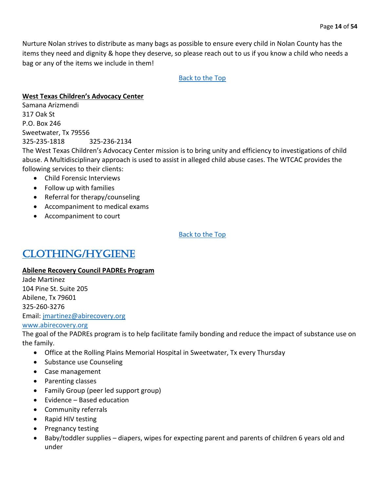Nurture Nolan strives to distribute as many bags as possible to ensure every child in Nolan County has the items they need and dignity & hope they deserve, so please reach out to us if you know a child who needs a bag or any of the items we include in them!

#### [Back to the Top](#page-1-0)

#### **West Texas Children's Advocacy Center**

Samana Arizmendi 317 Oak St P.O. Box 246 Sweetwater, Tx 79556 325-235-1818 325-236-2134 The West Texas Children's Advocacy Center mission is to bring unity and efficiency to investigations of child abuse. A Multidisciplinary approach is used to assist in alleged child abuse cases. The WTCAC provides the following services to their clients: • Child Forensic Interviews

- Follow up with families
- Referral for therapy/counseling
- Accompaniment to medical exams
- Accompaniment to court

[Back to the Top](#page-1-0)

### <span id="page-13-0"></span>[Clothing/Hygiene](#page-13-0)

#### **Abilene Recovery Council PADREs Program**

Jade Martinez 104 Pine St. Suite 205 Abilene, Tx 79601 325-260-3276 Email: [jmartinez@abirecovery.org](mailto:jmartinez@abirecovery.org) [www.abirecovery.org](http://www.abirecovery.org/)

The goal of the PADREs program is to help facilitate family bonding and reduce the impact of substance use on the family.

- Office at the Rolling Plains Memorial Hospital in Sweetwater, Tx every Thursday
- Substance use Counseling
- Case management
- Parenting classes
- Family Group (peer led support group)
- Evidence Based education
- Community referrals
- Rapid HIV testing
- Pregnancy testing
- Baby/toddler supplies diapers, wipes for expecting parent and parents of children 6 years old and under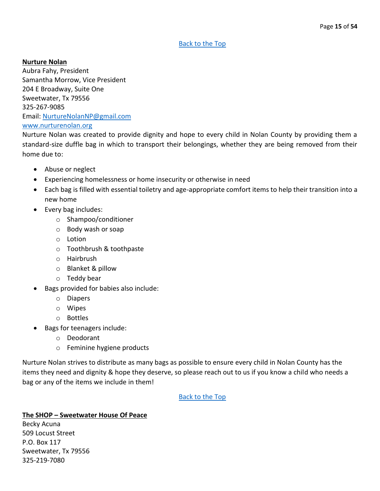#### **Nurture Nolan**

Aubra Fahy, President Samantha Morrow, Vice President 204 E Broadway, Suite One Sweetwater, Tx 79556 325-267-9085 Email: [NurtureNolanNP@gmail.com](mailto:NurtureNolanNP@gmail.com) [www.nurturenolan.org](http://www.nurturenolan.org/)

Nurture Nolan was created to provide dignity and hope to every child in Nolan County by providing them a standard-size duffle bag in which to transport their belongings, whether they are being removed from their home due to:

- Abuse or neglect
- Experiencing homelessness or home insecurity or otherwise in need
- Each bag is filled with essential toiletry and age-appropriate comfort items to help their transition into a new home
- Every bag includes:
	- o Shampoo/conditioner
	- o Body wash or soap
	- o Lotion
	- o Toothbrush & toothpaste
	- o Hairbrush
	- o Blanket & pillow
	- o Teddy bear
- Bags provided for babies also include:
	- o Diapers
	- o Wipes
	- o Bottles
- Bags for teenagers include:
	- o Deodorant
	- o Feminine hygiene products

Nurture Nolan strives to distribute as many bags as possible to ensure every child in Nolan County has the items they need and dignity & hope they deserve, so please reach out to us if you know a child who needs a bag or any of the items we include in them!

[Back to the Top](#page-1-0)

#### **The SHOP – Sweetwater House Of Peace**

Becky Acuna 509 Locust Street P.O. Box 117 Sweetwater, Tx 79556 325-219-7080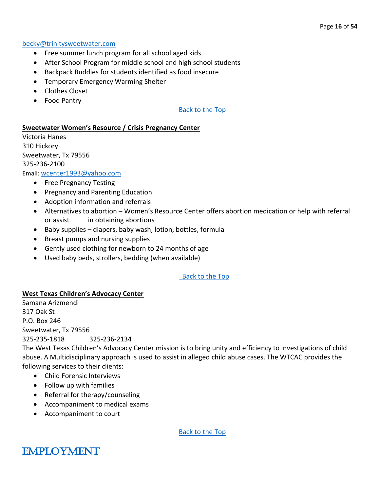#### [becky@trinitysweetwater.com](mailto:becky@trinitysweetwater.com)

- Free summer lunch program for all school aged kids
- After School Program for middle school and high school students
- Backpack Buddies for students identified as food insecure
- Temporary Emergency Warming Shelter
- Clothes Closet
- Food Pantry

#### [Back to the Top](#page-1-0)

#### **Sweetwater Women's Resource / Crisis Pregnancy Center**

Victoria Hanes 310 Hickory Sweetwater, Tx 79556 325-236-2100 Email: [wcenter1993@yahoo.com](mailto:wcenter1993@yahoo.com)

- Free Pregnancy Testing
- Pregnancy and Parenting Education
- Adoption information and referrals
- Alternatives to abortion Women's Resource Center offers abortion medication or help with referral or assist in obtaining abortions
- Baby supplies diapers, baby wash, lotion, bottles, formula
- Breast pumps and nursing supplies
- Gently used clothing for newborn to 24 months of age
- Used baby beds, strollers, bedding (when available)

#### [Back to the Top](#page-1-0)

#### **West Texas Children's Advocacy Center**

Samana Arizmendi 317 Oak St P.O. Box 246 Sweetwater, Tx 79556 325-235-1818 325-236-2134

The West Texas Children's Advocacy Center mission is to bring unity and efficiency to investigations of child abuse. A Multidisciplinary approach is used to assist in alleged child abuse cases. The WTCAC provides the following services to their clients:

- Child Forensic Interviews
- Follow up with families
- Referral for therapy/counseling
- Accompaniment to medical exams
- Accompaniment to court

<span id="page-15-0"></span>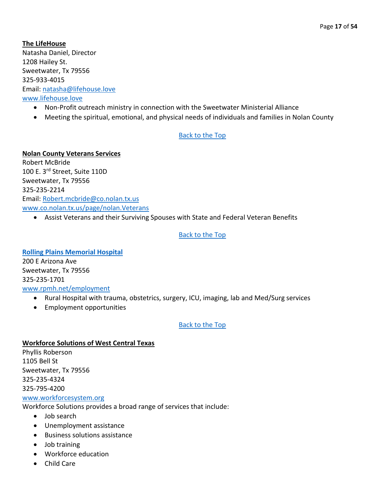**The LifeHouse** Natasha Daniel, Director 1208 Hailey St. Sweetwater, Tx 79556 325-933-4015 Email: [natasha@lifehouse.love](mailto:natasha@lifehouse.love) [www.lifehouse.love](http://www.lifehouse.love/)

- Non-Profit outreach ministry in connection with the Sweetwater Ministerial Alliance
- Meeting the spiritual, emotional, and physical needs of individuals and families in Nolan County

#### [Back to the Top](#page-1-0)

**Nolan County Veterans Services** Robert McBride 100 E. 3rd Street, Suite 110D Sweetwater, Tx 79556 325-235-2214 Email: [Robert.mcbride@co.nolan.tx.us](mailto:Robert.mcbride@co.nolan.tx.us)

[www.co.nolan.tx.us/page/nolan.Veterans](http://www.co.nolan.tx.us/page/nolan.Veterans)

• Assist Veterans and their Surviving Spouses with State and Federal Veteran Benefits

#### [Back to the Top](#page-1-0)

<span id="page-16-0"></span>**[Rolling Plains Memorial Hospital](#page-16-0)** 200 E Arizona Ave Sweetwater, Tx 79556 325-235-1701

#### [www.rpmh.net/employment](http://www.rpmh.net/employment)

- Rural Hospital with trauma, obstetrics, surgery, ICU, imaging, lab and Med/Surg services
- Employment opportunities

#### [Back to the Top](#page-1-0)

#### **Workforce Solutions of West Central Texas**

Phyllis Roberson 1105 Bell St Sweetwater, Tx 79556 325-235-4324 325-795-4200 [www.workforcesystem.org](http://www.workforcesystem.org/)

Workforce Solutions provides a broad range of services that include:

- Job search
- Unemployment assistance
- Business solutions assistance
- Job training
- Workforce education
- Child Care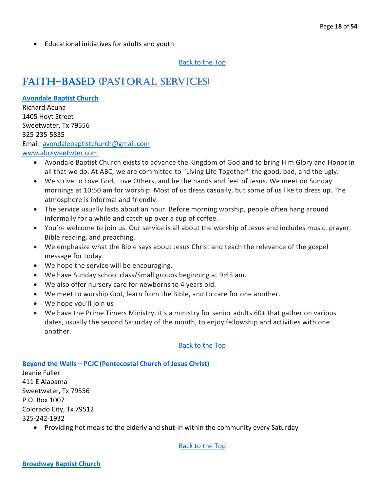• Educational initiatives for adults and youth

[Back to the Top](#page-1-0)

### <span id="page-17-0"></span>[Faith-Based](#page-17-0) (Pastoral Services)

#### <span id="page-17-1"></span>**[Avondale Baptist Church](#page-17-1)**

Richard Acuna 1405 Hoyt Street Sweetwater, Tx 79556 325-235-5835 Email: [avondalebaptistchurch@gmail.com](mailto:avondalebaptistchurch@gmail.com) [www.abcsweetwter.com](http://www.abcsweetwter.com/)

- Avondale Baptist Church exists to advance the Kingdom of God and to bring Him Glory and Honor in all that we do. At ABC, we are committed to "Living Life Together" the good, bad, and the ugly.
- We strive to Love God, Love Others, and be the hands and feet of Jesus. We meet on Sunday mornings at 10:50 am for worship. Most of us dress casually, but some of us like to dress up. The atmosphere is informal and friendly.
- The service usually lasts about an hour. Before morning worship, people often hang around informally for a while and catch up over a cup of coffee.
- You're welcome to join us. Our service is all about the worship of Jesus and includes music, prayer, Bible reading, and preaching.
- We emphasize what the Bible says about Jesus Christ and teach the relevance of the gospel message for today.
- We hope the service will be encouraging.
- We have Sunday school class/Small groups beginning at 9:45 am.
- We also offer nursery care for newborns to 4 years old.
- We meet to worship God, learn from the Bible, and to care for one another.
- We hope you'll join us!
- We have the Prime Timers Ministry, it's a ministry for senior adults 60+ that gather on various dates, usually the second Saturday of the month, to enjoy fellowship and activities with one another.

#### [Back to the Top](#page-1-0)

#### <span id="page-17-2"></span>**Beyond the Walls – [PCJC \(Pentecostal Church of Jesus Christ\)](#page-17-2)**

Jeanie Fuller 411 E Alabama Sweetwater, Tx 79556 P.O. Box 1007 Colorado City, Tx 79512 325-242-1932

<span id="page-17-3"></span>• Providing hot meals to the elderly and shut-in within the community every Saturday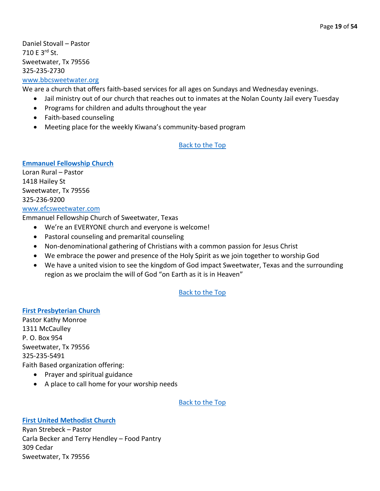Daniel Stovall – Pastor 710 E 3rd St. Sweetwater, Tx 79556 325-235-2730

### [www.bbcsweetwater.org](http://www.bbcsweetwater.org/)

We are a church that offers faith-based services for all ages on Sundays and Wednesday evenings.

- Jail ministry out of our church that reaches out to inmates at the Nolan County Jail every Tuesday
- Programs for children and adults throughout the year
- Faith-based counseling
- Meeting place for the weekly Kiwana's community-based program

#### [Back to the Top](#page-1-0)

#### <span id="page-18-0"></span>**[Emmanuel Fellowship Church](#page-18-0)**

Loran Rural – Pastor 1418 Hailey St Sweetwater, Tx 79556 325-236-9200

#### [www.efcsweetwater.com](http://www.efcsweetwater.com/)

Emmanuel Fellowship Church of Sweetwater, Texas

- We're an EVERYONE church and everyone is welcome!
- Pastoral counseling and premarital counseling
- Non-denominational gathering of Christians with a common passion for Jesus Christ
- We embrace the power and presence of the Holy Spirit as we join together to worship God
- We have a united vision to see the kingdom of God impact Sweetwater, Texas and the surrounding region as we proclaim the will of God "on Earth as it is in Heaven"

#### [Back to the Top](#page-1-0)

<span id="page-18-1"></span>**[First Presbyterian Church](#page-18-1)** Pastor Kathy Monroe 1311 McCaulley P. O. Box 954 Sweetwater, Tx 79556 325-235-5491 Faith Based organization offering:

- Prayer and spiritual guidance
- A place to call home for your worship needs

#### [Back to the Top](#page-1-0)

#### <span id="page-18-2"></span>**[First United Methodist Church](#page-18-2)**

Ryan Strebeck – Pastor Carla Becker and Terry Hendley – Food Pantry 309 Cedar Sweetwater, Tx 79556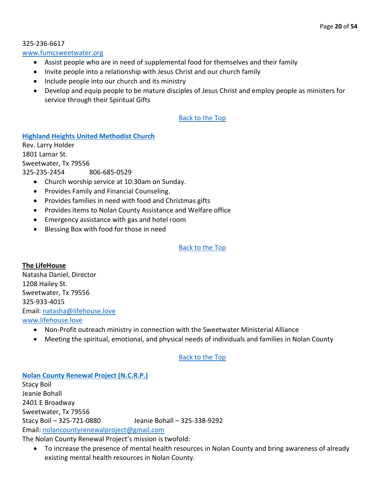325-236-6617

#### [www.fumcsweetwater.org](http://www.fumcsweetwater.org/)

- Assist people who are in need of supplemental food for themselves and their family
- Invite people into a relationship with Jesus Christ and our church family
- Include people into our church and its ministry
- Develop and equip people to be mature disciples of Jesus Christ and employ people as ministers for service through their Spiritual Gifts

#### [Back to the Top](#page-1-0)

#### <span id="page-19-0"></span>**[Highland Heights United Methodist Church](#page-19-0)**

Rev. Larry Holder 1801 Lamar St. Sweetwater, Tx 79556 325-235-2454 806-685-0529

- Church worship service at 10:30am on Sunday.
- Provides Family and Financial Counseling.
- Provides families in need with food and Christmas gifts
- Provides items to Nolan County Assistance and Welfare office
- Emergency assistance with gas and hotel room
- Blessing Box with food for those in need

#### [Back to the Top](#page-1-0)

#### **The LifeHouse**

Natasha Daniel, Director 1208 Hailey St. Sweetwater, Tx 79556 325-933-4015 Email: [natasha@lifehouse.love](mailto:natasha@lifehouse.love) [www.lifehouse.love](http://www.lifehouse.love/)

- Non-Profit outreach ministry in connection with the Sweetwater Ministerial Alliance
- Meeting the spiritual, emotional, and physical needs of individuals and families in Nolan County

#### [Back to the Top](#page-1-0)

#### <span id="page-19-1"></span>**[Nolan County Renewal Project \(N.C.R.P.\)](#page-19-1)**

Stacy Boil Jeanie Bohall 2401 E Broadway Sweetwater, Tx 79556 Stacy Boil – 325-721-0880 Jeanie Bohall – 325-338-9292 Email: [nolancountyrenewalproject@gmail.com](mailto:nolancountyrenewalproject@gmail.com)

The Nolan County Renewal Project's mission is twofold:

• To increase the presence of mental health resources in Nolan County and bring awareness of already existing mental health resources in Nolan County.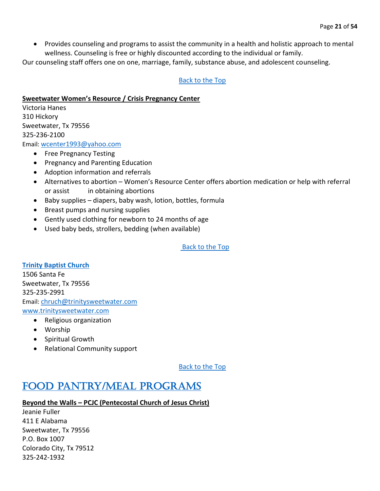• Provides counseling and programs to assist the community in a health and holistic approach to mental wellness. Counseling is free or highly discounted according to the individual or family.

Our counseling staff offers one on one, marriage, family, substance abuse, and adolescent counseling.

#### [Back to the Top](#page-1-0)

#### **Sweetwater Women's Resource / Crisis Pregnancy Center**

Victoria Hanes 310 Hickory Sweetwater, Tx 79556 325-236-2100 Email: [wcenter1993@yahoo.com](mailto:wcenter1993@yahoo.com)

- Free Pregnancy Testing
- Pregnancy and Parenting Education
- Adoption information and referrals
- Alternatives to abortion Women's Resource Center offers abortion medication or help with referral or assist in obtaining abortions
- Baby supplies diapers, baby wash, lotion, bottles, formula
- Breast pumps and nursing supplies
- Gently used clothing for newborn to 24 months of age
- Used baby beds, strollers, bedding (when available)

[Back to the Top](#page-1-0)

#### <span id="page-20-1"></span>**[Trinity Baptist Church](#page-20-1)**

1506 Santa Fe Sweetwater, Tx 79556 325-235-2991 Email: [chruch@trinitysweetwater.com](mailto:chruch@trinitysweetwater.com) [www.trinitysweetwater.com](http://www.trinitysweetwater.com/)

- Religious organization
- Worship
- Spiritual Growth
- Relational Community support

[Back to the Top](#page-1-0)

### <span id="page-20-0"></span>[Food Pantry/Meal Programs](#page-20-0)

#### **Beyond the Walls – PCJC (Pentecostal Church of Jesus Christ)**

Jeanie Fuller 411 E Alabama Sweetwater, Tx 79556 P.O. Box 1007 Colorado City, Tx 79512 325-242-1932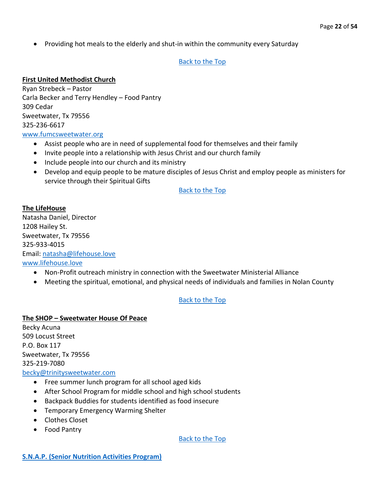• Providing hot meals to the elderly and shut-in within the community every Saturday

#### [Back to the Top](#page-1-0)

#### **First United Methodist Church**

Ryan Strebeck – Pastor Carla Becker and Terry Hendley – Food Pantry 309 Cedar Sweetwater, Tx 79556 325-236-6617 [www.fumcsweetwater.org](http://www.fumcsweetwater.org/)

- Assist people who are in need of supplemental food for themselves and their family
- Invite people into a relationship with Jesus Christ and our church family
- Include people into our church and its ministry
- Develop and equip people to be mature disciples of Jesus Christ and employ people as ministers for service through their Spiritual Gifts

[Back to the Top](#page-1-0)

### **The LifeHouse**

Natasha Daniel, Director 1208 Hailey St. Sweetwater, Tx 79556 325-933-4015 Email: [natasha@lifehouse.love](mailto:natasha@lifehouse.love) [www.lifehouse.love](http://www.lifehouse.love/)

- Non-Profit outreach ministry in connection with the Sweetwater Ministerial Alliance
- Meeting the spiritual, emotional, and physical needs of individuals and families in Nolan County

#### [Back to the Top](#page-1-0)

#### **The SHOP – Sweetwater House Of Peace**

Becky Acuna 509 Locust Street P.O. Box 117 Sweetwater, Tx 79556 325-219-7080

#### [becky@trinitysweetwater.com](mailto:becky@trinitysweetwater.com)

- Free summer lunch program for all school aged kids
- After School Program for middle school and high school students
- Backpack Buddies for students identified as food insecure
- Temporary Emergency Warming Shelter
- Clothes Closet
- <span id="page-21-0"></span>• Food Pantry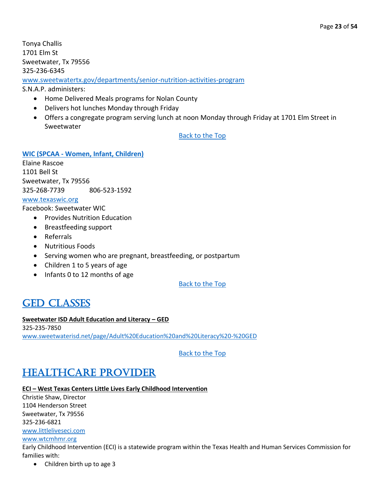Tonya Challis 1701 Elm St Sweetwater, Tx 79556 325-236-6345

[www.sweetwatertx.gov/departments/senior-nutrition-activities-program](http://www.sweetwatertx.gov/departments/senior-nutrition-activities-program)

S.N.A.P. administers:

- Home Delivered Meals programs for Nolan County
- Delivers hot lunches Monday through Friday
- Offers a congregate program serving lunch at noon Monday through Friday at 1701 Elm Street in Sweetwater

#### [Back to the Top](#page-1-0)

<span id="page-22-2"></span>**WIC (SPCAA - [Women, Infant, Children\)](#page-22-2)**

Elaine Rascoe 1101 Bell St Sweetwater, Tx 79556 325-268-7739 806-523-1592

#### [www.texaswic.org](http://www.texaswic.org/)

Facebook: Sweetwater WIC

- Provides Nutrition Education
- Breastfeeding support
- Referrals
- Nutritious Foods
- Serving women who are pregnant, breastfeeding, or postpartum
- Children 1 to 5 years of age
- Infants 0 to 12 months of age

#### [Back to the Top](#page-1-0)

### <span id="page-22-0"></span>**GED CLASSES**

#### **Sweetwater ISD Adult Education and Literacy – GED**

325-235-7850 [www.sweetwaterisd.net/page/Adult%20Education%20and%20Literacy%20-%20GED](http://www.sweetwaterisd.net/page/Adult%20Education%20and%20Literacy%20-%20GED)

#### [Back to the Top](#page-1-0)

### <span id="page-22-1"></span>[Healthcare Provider](#page-22-1)

#### **ECI - West Texas Centers Little Lives Early Childhood Intervention**

Christie Shaw, Director 1104 Henderson Street Sweetwater, Tx 79556 325-236-6821

[www.littleliveseci.com](http://www.littleliveseci.com/)

#### [www.wtcmhmr.org](http://www.wtcmhmr.org/)

Early Childhood Intervention (ECI) is a statewide program within the Texas Health and Human Services Commission for families with:

• Children birth up to age 3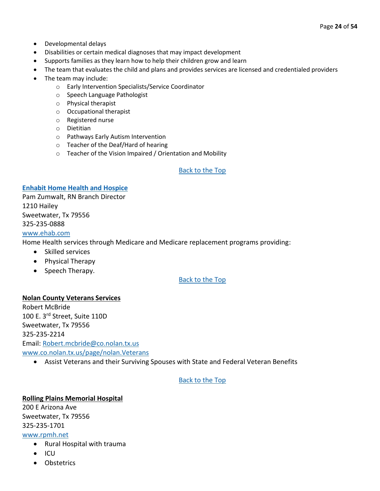- Developmental delays
- Disabilities or certain medical diagnoses that may impact development
- Supports families as they learn how to help their children grow and learn
- The team that evaluates the child and plans and provides services are licensed and credentialed providers
- The team may include:
	- o Early Intervention Specialists/Service Coordinator
	- o Speech Language Pathologist
	- o Physical therapist
	- o Occupational therapist
	- o Registered nurse
	- o Dietitian
	- o Pathways Early Autism Intervention
	- o Teacher of the Deaf/Hard of hearing
	- o Teacher of the Vision Impaired / Orientation and Mobility

#### <span id="page-23-0"></span>**[Enhabit Home Health and Hospice](#page-23-0)**

Pam Zumwalt, RN Branch Director 1210 Hailey Sweetwater, Tx 79556 325-235-0888

#### [www.ehab.com](http://www.ehab.com/)

Home Health services through Medicare and Medicare replacement programs providing:

- Skilled services
- Physical Therapy
- Speech Therapy.

#### [Back to the Top](#page-1-0)

#### **Nolan County Veterans Services**

Robert McBride 100 E. 3rd Street, Suite 110D Sweetwater, Tx 79556 325-235-2214 Email: [Robert.mcbride@co.nolan.tx.us](mailto:Robert.mcbride@co.nolan.tx.us) [www.co.nolan.tx.us/page/nolan.Veterans](http://www.co.nolan.tx.us/page/nolan.Veterans)

• Assist Veterans and their Surviving Spouses with State and Federal Veteran Benefits

#### [Back to the Top](#page-1-0)

#### **Rolling Plains Memorial Hospital** 200 E Arizona Ave

Sweetwater, Tx 79556 325-235-1701

[www.rpmh.net](http://www.rpmh.net/)

- Rural Hospital with trauma
- ICU
- Obstetrics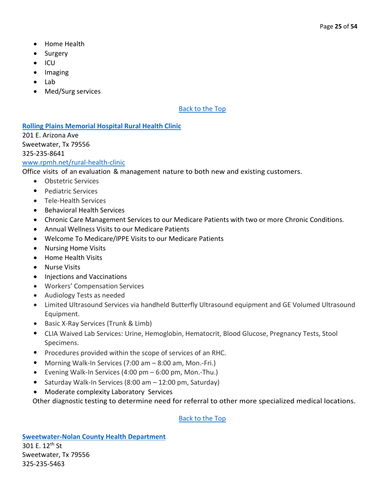- Home Health
- Surgery
- ICU
- Imaging
- Lab
- Med/Surg services

#### <span id="page-24-0"></span>**[Rolling Plains Memorial Hospital Rural Health Clinic](#page-24-0)**

201 E. Arizona Ave Sweetwater, Tx 79556 325-235-8641

[www.rpmh.net/rural-health-clinic](http://www.rpmh.net/rural-health-clinic)

Office visits of an evaluation & management nature to both new and existing customers.

- Obstetric Services
- Pediatric Services
- Tele-Health Services
- Behavioral Health Services
- Chronic Care Management Services to our Medicare Patients with two or more Chronic Conditions.
- Annual Wellness Visits to our Medicare Patients
- Welcome To Medicare/IPPE Visits to our Medicare Patients
- Nursing Home Visits
- Home Health Visits
- Nurse Visits
- Injections and Vaccinations
- Workers' Compensation Services
- Audiology Tests as needed
- Limited Ultrasound Services via handheld Butterfly Ultrasound equipment and GE Volumed Ultrasound Equipment.
- Basic X-Ray Services (Trunk & Limb)
- CLIA Waived Lab Services: Urine, Hemoglobin, Hematocrit, Blood Glucose, Pregnancy Tests, Stool Specimens.
- Procedures provided within the scope of services of an RHC.
- Morning Walk-In Services (7:00 am 8:00 am, Mon.-Fri.)
- Evening Walk-In Services (4:00 pm 6:00 pm, Mon.-Thu.)
- Saturday Walk-In Services (8:00 am 12:00 pm, Saturday)
- Moderate complexity Laboratory Services

<span id="page-24-1"></span>Other diagnostic testing to determine need for referral to other more specialized medical locations.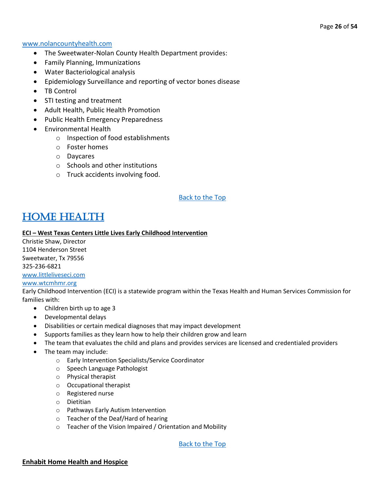#### [www.nolancountyhealth.com](http://www.nolancountyhealth.com/)

- The Sweetwater-Nolan County Health Department provides:
- Family Planning, Immunizations
- Water Bacteriological analysis
- Epidemiology Surveillance and reporting of vector bones disease
- TB Control
- STI testing and treatment
- Adult Health, Public Health Promotion
- Public Health Emergency Preparedness
- Environmental Health
	- o Inspection of food establishments
	- o Foster homes
	- o Daycares
	- o Schools and other institutions
	- o Truck accidents involving food.

#### [Back to the Top](#page-1-0)

### <span id="page-25-0"></span>[Home Health](#page-25-0)

#### **ECI - West Texas Centers Little Lives Early Childhood Intervention**

Christie Shaw, Director 1104 Henderson Street Sweetwater, Tx 79556 325-236-6821 [www.littleliveseci.com](http://www.littleliveseci.com/) [www.wtcmhmr.org](http://www.wtcmhmr.org/)

Early Childhood Intervention (ECI) is a statewide program within the Texas Health and Human Services Commission for families with:

- Children birth up to age 3
- Developmental delays
- Disabilities or certain medical diagnoses that may impact development
- Supports families as they learn how to help their children grow and learn
- The team that evaluates the child and plans and provides services are licensed and credentialed providers
- The team may include:
	- o Early Intervention Specialists/Service Coordinator
	- o Speech Language Pathologist
	- o Physical therapist
	- o Occupational therapist
	- o Registered nurse
	- o Dietitian
	- o Pathways Early Autism Intervention
	- o Teacher of the Deaf/Hard of hearing
	- o Teacher of the Vision Impaired / Orientation and Mobility

[Back to the Top](#page-1-0)

#### **Enhabit Home Health and Hospice**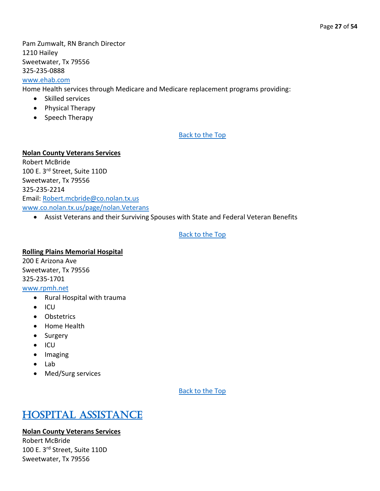Pam Zumwalt, RN Branch Director 1210 Hailey Sweetwater, Tx 79556 325-235-0888

### [www.ehab.com](http://www.ehab.com/)

Home Health services through Medicare and Medicare replacement programs providing:

- Skilled services
- Physical Therapy
- Speech Therapy

#### [Back to the Top](#page-1-0)

#### **Nolan County Veterans Services**

Robert McBride 100 E. 3rd Street, Suite 110D Sweetwater, Tx 79556 325-235-2214 Email: [Robert.mcbride@co.nolan.tx.us](mailto:Robert.mcbride@co.nolan.tx.us) [www.co.nolan.tx.us/page/nolan.Veterans](http://www.co.nolan.tx.us/page/nolan.Veterans)

• Assist Veterans and their Surviving Spouses with State and Federal Veteran Benefits

#### [Back to the Top](#page-1-0)

#### **Rolling Plains Memorial Hospital**

200 E Arizona Ave Sweetwater, Tx 79556 325-235-1701 [www.rpmh.net](http://www.rpmh.net/home-health)

- Rural Hospital with trauma
- ICU
- Obstetrics
- Home Health
- Surgery
- ICU
- Imaging
- Lab
- Med/Surg services

[Back to the Top](#page-1-0) 

### <span id="page-26-0"></span>[Hospital Assistance](#page-26-0)

#### **Nolan County Veterans Services**

Robert McBride 100 E. 3rd Street, Suite 110D Sweetwater, Tx 79556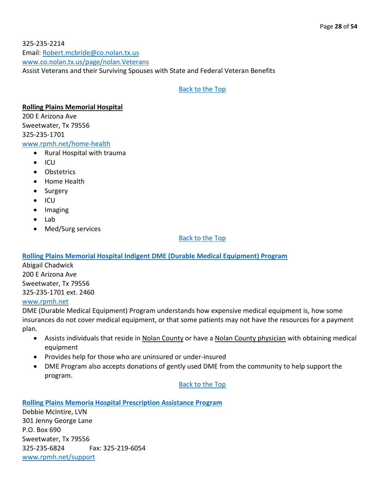325-235-2214 Email: [Robert.mcbride@co.nolan.tx.us](mailto:Robert.mcbride@co.nolan.tx.us) [www.co.nolan.tx.us/page/nolan.Veterans](http://www.co.nolan.tx.us/page/nolan.Veterans) Assist Veterans and their Surviving Spouses with State and Federal Veteran Benefits

#### [Back to the Top](#page-1-0)

#### **Rolling Plains Memorial Hospital**

200 E Arizona Ave Sweetwater, Tx 79556 325-235-1701

#### [www.rpmh.net/home-health](http://www.rpmh.net/home-health)

- Rural Hospital with trauma
- ICU
- Obstetrics
- Home Health
- Surgery
- ICU
- Imaging
- Lab
- Med/Surg services

#### [Back to the Top](#page-1-0)

#### <span id="page-27-0"></span>**[Rolling Plains Memorial Hospital Indigent DME \(Durable Medical Equipment\) Program](#page-27-0)**

Abigail Chadwick 200 E Arizona Ave Sweetwater, Tx 79556 325-235-1701 ext. 2460

#### [www.rpmh.net](http://www.rpmh.net/)

DME (Durable Medical Equipment) Program understands how expensive medical equipment is, how some insurances do not cover medical equipment, or that some patients may not have the resources for a payment plan.

- Assists individuals that reside in Nolan County or have a Nolan County physician with obtaining medical equipment
- Provides help for those who are uninsured or under-insured
- DME Program also accepts donations of gently used DME from the community to help support the program.

#### [Back to the Top](#page-1-0)

#### <span id="page-27-1"></span>**[Rolling Plains Memoria Hospital Prescription Assistance Program](#page-27-1)**

Debbie McIntire, LVN 301 Jenny George Lane P.O. Box 690 Sweetwater, Tx 79556 325-235-6824 Fax: 325-219-6054 [www.rpmh.net/support](http://www.rpmh.net/support)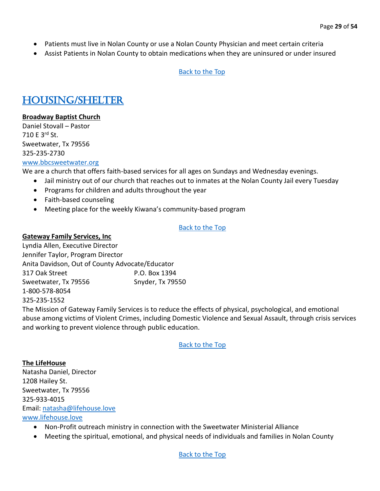- Patients must live in Nolan County or use a Nolan County Physician and meet certain criteria
- Assist Patients in Nolan County to obtain medications when they are uninsured or under insured

### <span id="page-28-0"></span>[Housing/Shelter](#page-28-0)

#### **Broadway Baptist Church**

Daniel Stovall – Pastor 710 E 3rd St. Sweetwater, Tx 79556 325-235-2730 [www.bbcsweetwater.org](http://www.bbcsweetwater.org/)

We are a church that offers faith-based services for all ages on Sundays and Wednesday evenings.

- Jail ministry out of our church that reaches out to inmates at the Nolan County Jail every Tuesday
- Programs for children and adults throughout the year
- Faith-based counseling
- Meeting place for the weekly Kiwana's community-based program

#### [Back to the Top](#page-1-0)

#### **Gateway Family Services, Inc**

Lyndia Allen, Executive Director Jennifer Taylor, Program Director Anita Davidson, Out of County Advocate/Educator 317 Oak Street P.O. Box 1394 Sweetwater, Tx 79556 Snyder, Tx 79550 1-800-578-8054 325-235-1552

The Mission of Gateway Family Services is to reduce the effects of physical, psychological, and emotional abuse among victims of Violent Crimes, including Domestic Violence and Sexual Assault, through crisis services and working to prevent violence through public education.

[Back to the Top](#page-1-0)

**The LifeHouse** Natasha Daniel, Director 1208 Hailey St. Sweetwater, Tx 79556 325-933-4015 Email: [natasha@lifehouse.love](mailto:natasha@lifehouse.love) [www.lifehouse.love](http://www.lifehouse.love/)

- Non-Profit outreach ministry in connection with the Sweetwater Ministerial Alliance
- Meeting the spiritual, emotional, and physical needs of individuals and families in Nolan County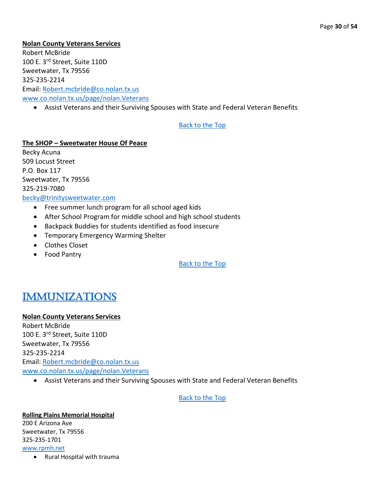#### **Nolan County Veterans Services**

Robert McBride 100 E. 3rd Street, Suite 110D Sweetwater, Tx 79556 325-235-2214 Email: [Robert.mcbride@co.nolan.tx.us](mailto:Robert.mcbride@co.nolan.tx.us) [www.co.nolan.tx.us/page/nolan.Veterans](http://www.co.nolan.tx.us/page/nolan.Veterans)

• Assist Veterans and their Surviving Spouses with State and Federal Veteran Benefits

#### [Back to the Top](#page-1-0)

### **The SHOP – Sweetwater House Of Peace**

Becky Acuna 509 Locust Street P.O. Box 117 Sweetwater, Tx 79556 325-219-7080 [becky@trinitysweetwater.com](mailto:becky@trinitysweetwater.com)

- Free summer lunch program for all school aged kids
- After School Program for middle school and high school students
- Backpack Buddies for students identified as food insecure
- Temporary Emergency Warming Shelter
- Clothes Closet
- Food Pantry

[Back to the Top](#page-1-0)

### <span id="page-29-0"></span>[Immunizations](#page-29-0)

#### **Nolan County Veterans Services**

Robert McBride 100 E. 3rd Street, Suite 110D Sweetwater, Tx 79556 325-235-2214 Email: [Robert.mcbride@co.nolan.tx.us](mailto:Robert.mcbride@co.nolan.tx.us) [www.co.nolan.tx.us/page/nolan.Veterans](http://www.co.nolan.tx.us/page/nolan.Veterans)

• Assist Veterans and their Surviving Spouses with State and Federal Veteran Benefits

[Back to the Top](#page-1-0) 

#### **Rolling Plains Memorial Hospital**  200 E Arizona Ave Sweetwater, Tx 79556 325-235-1701 [www.rpmh.net](http://www.rpmh.net/)

• Rural Hospital with trauma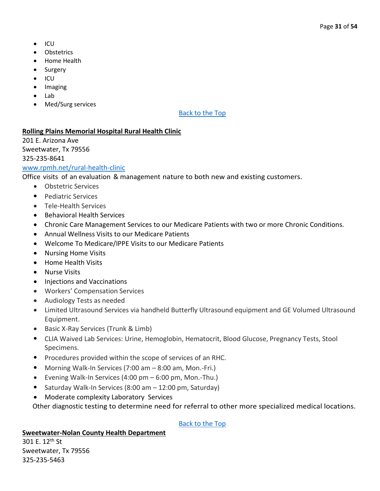- ICU
- **Obstetrics**
- Home Health
- Surgery
- ICU
- Imaging
- Lab
- Med/Surg services

#### **Rolling Plains Memorial Hospital Rural Health Clinic**

201 E. Arizona Ave Sweetwater, Tx 79556 325-235-8641

#### [www.rpmh.net/rural-health-clinic](http://www.rpmh.net/rural-health-clinic)

Office visits of an evaluation & management nature to both new and existing customers.

- Obstetric Services
- Pediatric Services
- Tele-Health Services
- Behavioral Health Services
- Chronic Care Management Services to our Medicare Patients with two or more Chronic Conditions.
- Annual Wellness Visits to our Medicare Patients
- Welcome To Medicare/IPPE Visits to our Medicare Patients
- Nursing Home Visits
- Home Health Visits
- Nurse Visits
- Injections and Vaccinations
- Workers' Compensation Services
- Audiology Tests as needed
- Limited Ultrasound Services via handheld Butterfly Ultrasound equipment and GE Volumed Ultrasound Equipment.
- Basic X-Ray Services (Trunk & Limb)
- CLIA Waived Lab Services: Urine, Hemoglobin, Hematocrit, Blood Glucose, Pregnancy Tests, Stool Specimens.
- Procedures provided within the scope of services of an RHC.
- Morning Walk-In Services (7:00 am 8:00 am, Mon.-Fri.)
- Evening Walk-In Services (4:00 pm 6:00 pm, Mon.-Thu.)
- Saturday Walk-In Services (8:00 am 12:00 pm, Saturday)
- Moderate complexity Laboratory Services

Other diagnostic testing to determine need for referral to other more specialized medical locations.

[Back to the Top](#page-1-0)

#### **Sweetwater-Nolan County Health Department**

301 E. 12th St Sweetwater, Tx 79556 325-235-5463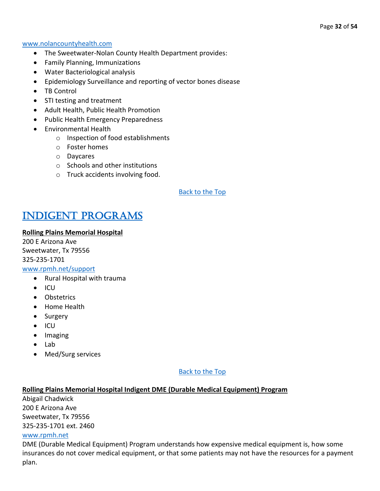#### [www.nolancountyhealth.com](http://www.nolancountyhealth.com/)

- The Sweetwater-Nolan County Health Department provides:
- Family Planning, Immunizations
- Water Bacteriological analysis
- Epidemiology Surveillance and reporting of vector bones disease
- TB Control
- STI testing and treatment
- Adult Health, Public Health Promotion
- Public Health Emergency Preparedness
- Environmental Health
	- o Inspection of food establishments
	- o Foster homes
	- o Daycares
	- o Schools and other institutions
	- o Truck accidents involving food.

#### [Back to the Top](#page-1-0)

### <span id="page-31-0"></span>[Indigent Programs](#page-31-0)

#### **Rolling Plains Memorial Hospital**

200 E Arizona Ave Sweetwater, Tx 79556 325-235-1701

### [www.rpmh.net/support](http://www.rpmh.net/support)

- Rural Hospital with trauma
- ICU
- Obstetrics
- Home Health
- Surgery
- ICU
- Imaging
- Lab
- Med/Surg services

#### [Back to the Top](#page-1-0)

#### **Rolling Plains Memorial Hospital Indigent DME (Durable Medical Equipment) Program**

Abigail Chadwick 200 E Arizona Ave Sweetwater, Tx 79556 325-235-1701 ext. 2460

#### [www.rpmh.net](http://www.rpmh.net/)

DME (Durable Medical Equipment) Program understands how expensive medical equipment is, how some insurances do not cover medical equipment, or that some patients may not have the resources for a payment plan.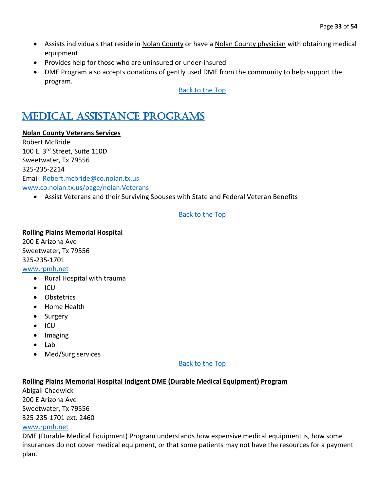- Assists individuals that reside in Nolan County or have a Nolan County physician with obtaining medical equipment
- Provides help for those who are uninsured or under-insured
- DME Program also accepts donations of gently used DME from the community to help support the program.

### <span id="page-32-0"></span>[Medical Assistance Programs](#page-32-0)

#### **Nolan County Veterans Services**

Robert McBride 100 E. 3rd Street, Suite 110D Sweetwater, Tx 79556 325-235-2214 Email: [Robert.mcbride@co.nolan.tx.us](mailto:Robert.mcbride@co.nolan.tx.us) [www.co.nolan.tx.us/page/nolan.Veterans](http://www.co.nolan.tx.us/page/nolan.Veterans)

• Assist Veterans and their Surviving Spouses with State and Federal Veteran Benefits

#### [Back to the Top](#page-1-0)

**Rolling Plains Memorial Hospital**  200 E Arizona Ave Sweetwater, Tx 79556 325-235-1701 [www.rpmh.net](http://www.rpmh.net/)

- Rural Hospital with trauma
- ICU
- Obstetrics
- Home Health
- Surgery
- ICU
- Imaging
- Lab
- Med/Surg services

[Back to the Top](#page-1-0) 

#### **Rolling Plains Memorial Hospital Indigent DME (Durable Medical Equipment) Program**

Abigail Chadwick 200 E Arizona Ave Sweetwater, Tx 79556 325-235-1701 ext. 2460 [www.rpmh.net](http://www.rpmh.net/)

DME (Durable Medical Equipment) Program understands how expensive medical equipment is, how some insurances do not cover medical equipment, or that some patients may not have the resources for a payment plan.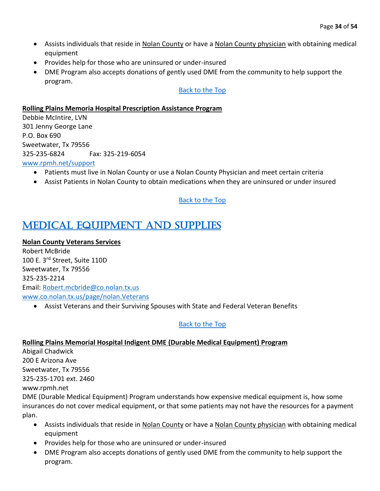- Assists individuals that reside in Nolan County or have a Nolan County physician with obtaining medical equipment
- Provides help for those who are uninsured or under-insured
- DME Program also accepts donations of gently used DME from the community to help support the program.

#### **Rolling Plains Memoria Hospital Prescription Assistance Program**

Debbie McIntire, LVN 301 Jenny George Lane P.O. Box 690 Sweetwater, Tx 79556 325-235-6824 Fax: 325-219-6054

#### [www.rpmh.net/support](http://www.rpmh.net/support)

- Patients must live in Nolan County or use a Nolan County Physician and meet certain criteria
- Assist Patients in Nolan County to obtain medications when they are uninsured or under insured

#### [Back to the Top](#page-1-0)

### <span id="page-33-0"></span>[Medical Equipment and Supplies](#page-33-0)

#### **Nolan County Veterans Services**

Robert McBride 100 E. 3rd Street, Suite 110D Sweetwater, Tx 79556 325-235-2214 Email: [Robert.mcbride@co.nolan.tx.us](mailto:Robert.mcbride@co.nolan.tx.us) [www.co.nolan.tx.us/page/nolan.Veterans](http://www.co.nolan.tx.us/page/nolan.Veterans)

• Assist Veterans and their Surviving Spouses with State and Federal Veteran Benefits

#### [Back to the Top](#page-1-0)

#### **Rolling Plains Memorial Hospital Indigent DME (Durable Medical Equipment) Program**

Abigail Chadwick 200 E Arizona Ave Sweetwater, Tx 79556 325-235-1701 ext. 2460

#### www.rpmh.net

DME (Durable Medical Equipment) Program understands how expensive medical equipment is, how some insurances do not cover medical equipment, or that some patients may not have the resources for a payment plan.

- Assists individuals that reside in Nolan County or have a Nolan County physician with obtaining medical equipment
- Provides help for those who are uninsured or under-insured
- DME Program also accepts donations of gently used DME from the community to help support the program.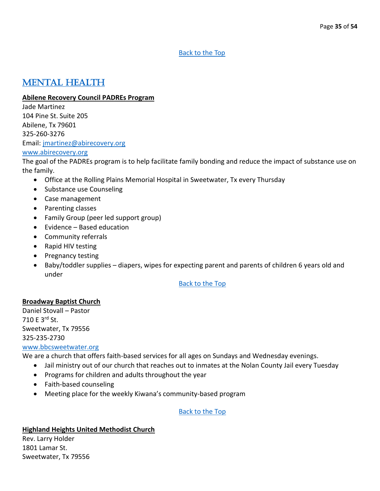### <span id="page-34-0"></span>[Mental Health](#page-34-0)

#### **Abilene Recovery Council PADREs Program**

Jade Martinez 104 Pine St. Suite 205 Abilene, Tx 79601 325-260-3276 Email: [jmartinez@abirecovery.org](mailto:jmartinez@abirecovery.org)

#### [www.abirecovery.org](http://www.abirecovery.org/)

The goal of the PADREs program is to help facilitate family bonding and reduce the impact of substance use on the family.

- Office at the Rolling Plains Memorial Hospital in Sweetwater, Tx every Thursday
- Substance use Counseling
- Case management
- Parenting classes
- Family Group (peer led support group)
- Evidence Based education
- Community referrals
- Rapid HIV testing
- Pregnancy testing
- Baby/toddler supplies diapers, wipes for expecting parent and parents of children 6 years old and under

#### [Back to the Top](#page-1-0)

#### **Broadway Baptist Church**

Daniel Stovall – Pastor 710 E 3rd St. Sweetwater, Tx 79556 325-235-2730 [www.bbcsweetwater.org](http://www.bbcsweetwater.org/)

We are a church that offers faith-based services for all ages on Sundays and Wednesday evenings.

- Jail ministry out of our church that reaches out to inmates at the Nolan County Jail every Tuesday
- Programs for children and adults throughout the year
- Faith-based counseling
- Meeting place for the weekly Kiwana's community-based program

#### [Back to the Top](#page-1-0)

#### **Highland Heights United Methodist Church**

Rev. Larry Holder 1801 Lamar St. Sweetwater, Tx 79556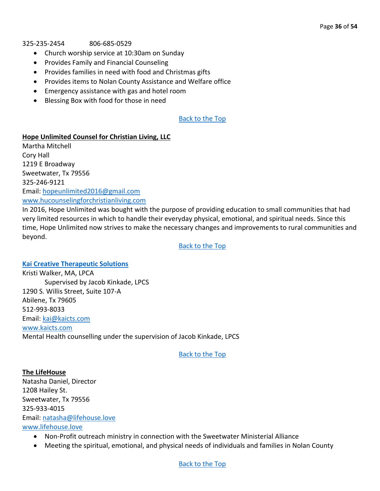#### 325-235-2454 806-685-0529

- Church worship service at 10:30am on Sunday
- Provides Family and Financial Counseling
- Provides families in need with food and Christmas gifts
- Provides items to Nolan County Assistance and Welfare office
- Emergency assistance with gas and hotel room
- Blessing Box with food for those in need

#### [Back to the Top](#page-1-0)

#### **Hope Unlimited Counsel for Christian Living, LLC**

Martha Mitchell Cory Hall 1219 E Broadway Sweetwater, Tx 79556 325-246-9121 Email: [hopeunlimited2016@gmail.com](mailto:hopeunlimited2016@gmail.com) [www.hucounselingforchristianliving.com](http://www.hucounselingforchristianliving.com/) 

In 2016, Hope Unlimited was bought with the purpose of providing education to small communities that had very limited resources in which to handle their everyday physical, emotional, and spiritual needs. Since this time, Hope Unlimited now strives to make the necessary changes and improvements to rural communities and beyond.

[Back to the Top](#page-1-0)

<span id="page-35-0"></span>**[Kai Creative Therapeutic Solutions](#page-35-0)** Kristi Walker, MA, LPCA Supervised by Jacob Kinkade, LPCS 1290 S. Willis Street, Suite 107-A Abilene, Tx 79605 512-993-8033 Email: [kai@kaicts.com](mailto:kai@kaicts.com) [www.kaicts.com](http://www.kaicts.com/) Mental Health counselling under the supervision of Jacob Kinkade, LPCS

[Back to the Top](#page-1-0)

**The LifeHouse** Natasha Daniel, Director 1208 Hailey St. Sweetwater, Tx 79556 325-933-4015 Email: [natasha@lifehouse.love](mailto:natasha@lifehouse.love) [www.lifehouse.love](http://www.lifehouse.love/)

- Non-Profit outreach ministry in connection with the Sweetwater Ministerial Alliance
- Meeting the spiritual, emotional, and physical needs of individuals and families in Nolan County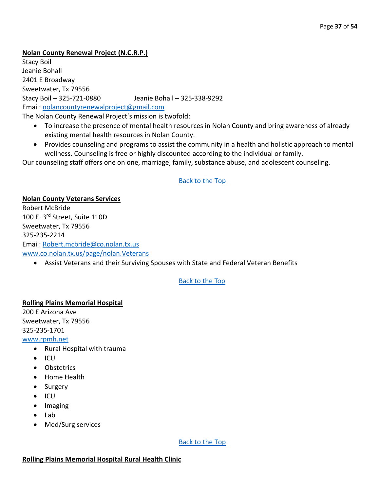#### **Nolan County Renewal Project (N.C.R.P.)**

Stacy Boil Jeanie Bohall 2401 E Broadway Sweetwater, Tx 79556 Stacy Boil – 325-721-0880 Jeanie Bohall – 325-338-9292 Email: [nolancountyrenewalproject@gmail.com](mailto:nolancountyrenewalproject@gmail.com) The Nolan County Renewal Project's mission is twofold:

- To increase the presence of mental health resources in Nolan County and bring awareness of already existing mental health resources in Nolan County.
- Provides counseling and programs to assist the community in a health and holistic approach to mental wellness. Counseling is free or highly discounted according to the individual or family.

Our counseling staff offers one on one, marriage, family, substance abuse, and adolescent counseling.

#### [Back to the Top](#page-1-0)

**Nolan County Veterans Services** Robert McBride 100 E. 3rd Street, Suite 110D Sweetwater, Tx 79556 325-235-2214 Email: [Robert.mcbride@co.nolan.tx.us](mailto:Robert.mcbride@co.nolan.tx.us) [www.co.nolan.tx.us/page/nolan.Veterans](http://www.co.nolan.tx.us/page/nolan.Veterans)

• Assist Veterans and their Surviving Spouses with State and Federal Veteran Benefits

#### [Back to the Top](#page-1-0)

#### **Rolling Plains Memorial Hospital**

200 E Arizona Ave Sweetwater, Tx 79556 325-235-1701

#### [www.rpmh.net](http://www.rpmh.net/)

- Rural Hospital with trauma
- ICU
- Obstetrics
- Home Health
- Surgery
- ICU
- Imaging
- Lab
- Med/Surg services

[Back to the Top](#page-1-0) 

#### **Rolling Plains Memorial Hospital Rural Health Clinic**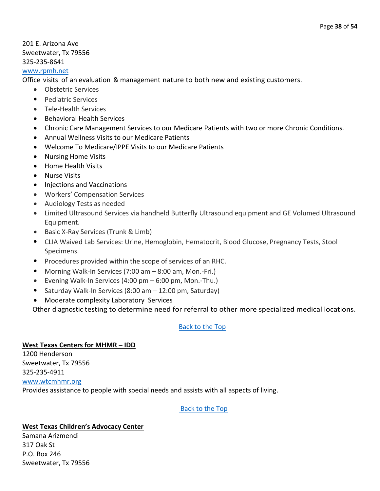#### 201 E. Arizona Ave Sweetwater, Tx 79556 325-235-8641

#### [www.rpmh.net](http://www.rpmh.net/)

Office visits of an evaluation & management nature to both new and existing customers.

- Obstetric Services
- Pediatric Services
- Tele-Health Services
- Behavioral Health Services
- Chronic Care Management Services to our Medicare Patients with two or more Chronic Conditions.
- Annual Wellness Visits to our Medicare Patients
- Welcome To Medicare/IPPE Visits to our Medicare Patients
- Nursing Home Visits
- Home Health Visits
- Nurse Visits
- Injections and Vaccinations
- Workers' Compensation Services
- Audiology Tests as needed
- Limited Ultrasound Services via handheld Butterfly Ultrasound equipment and GE Volumed Ultrasound Equipment.
- Basic X-Ray Services (Trunk & Limb)
- CLIA Waived Lab Services: Urine, Hemoglobin, Hematocrit, Blood Glucose, Pregnancy Tests, Stool Specimens.
- Procedures provided within the scope of services of an RHC.
- Morning Walk-In Services (7:00 am 8:00 am, Mon.-Fri.)
- Evening Walk-In Services (4:00 pm 6:00 pm, Mon.-Thu.)
- Saturday Walk-In Services (8:00 am 12:00 pm, Saturday)
- Moderate complexity Laboratory Services

Other diagnostic testing to determine need for referral to other more specialized medical locations.

#### [Back to the Top](#page-1-0)

#### **West Texas Centers for MHMR – IDD**

1200 Henderson Sweetwater, Tx 79556 325-235-4911 [www.wtcmhmr.org](http://www.wtcmhmr.org/) Provides assistance to people with special needs and assists with all aspects of living.

#### [Back to the Top](#page-1-0)

#### **West Texas Children's Advocacy Center**

Samana Arizmendi 317 Oak St P.O. Box 246 Sweetwater, Tx 79556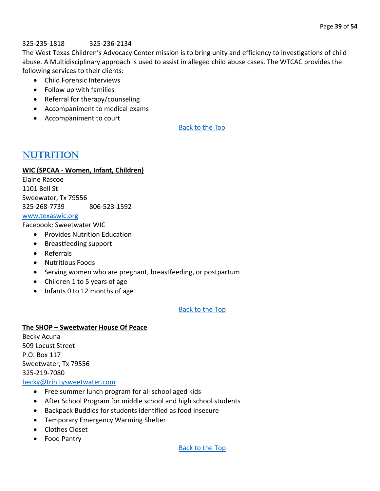#### 325-235-1818 325-236-2134

The West Texas Children's Advocacy Center mission is to bring unity and efficiency to investigations of child abuse. A Multidisciplinary approach is used to assist in alleged child abuse cases. The WTCAC provides the following services to their clients:

• Child Forensic Interviews

- Follow up with families
- Referral for therapy/counseling
- Accompaniment to medical exams
- Accompaniment to court

[Back to the Top](#page-1-0) 

### <span id="page-38-0"></span>**NUTRITION**

#### **WIC (SPCAA - Women, Infant, Children)**

Elaine Rascoe 1101 Bell St Sweewater, Tx 79556 325-268-7739 806-523-1592 [www.texaswic.org](http://www.texaswic.org/)

Facebook: Sweetwater WIC

- Provides Nutrition Education
- Breastfeeding support
- Referrals
- Nutritious Foods
- Serving women who are pregnant, breastfeeding, or postpartum
- Children 1 to 5 years of age
- Infants 0 to 12 months of age

#### [Back to the Top](#page-1-0)

#### **The SHOP – Sweetwater House Of Peace**

Becky Acuna 509 Locust Street P.O. Box 117 Sweetwater, Tx 79556 325-219-7080 [becky@trinitysweetwater.com](mailto:becky@trinitysweetwater.com)

- Free summer lunch program for all school aged kids
- After School Program for middle school and high school students
- Backpack Buddies for students identified as food insecure
- Temporary Emergency Warming Shelter
- Clothes Closet
- Food Pantry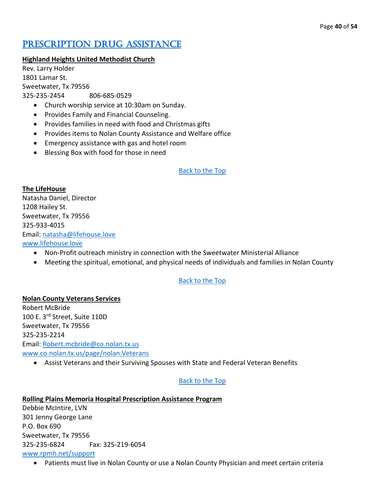### <span id="page-39-0"></span>PRESCRIPTION DRUG ASSISTANCE

#### **Highland Heights United Methodist Church**

Rev. Larry Holder 1801 Lamar St. Sweetwater, Tx 79556 325-235-2454 806-685-0529

- Church worship service at 10:30am on Sunday.
- Provides Family and Financial Counseling.
- Provides families in need with food and Christmas gifts
- Provides items to Nolan County Assistance and Welfare office
- Emergency assistance with gas and hotel room
- Blessing Box with food for those in need

#### [Back to the Top](#page-1-0)

#### **The LifeHouse**

Natasha Daniel, Director 1208 Hailey St. Sweetwater, Tx 79556 325-933-4015 Email: [natasha@lifehouse.love](mailto:natasha@lifehouse.love) [www.lifehouse.love](http://www.lifehouse.love/)

- Non-Profit outreach ministry in connection with the Sweetwater Ministerial Alliance
- Meeting the spiritual, emotional, and physical needs of individuals and families in Nolan County

#### [Back to the Top](#page-1-0)

**Nolan County Veterans Services** Robert McBride 100 E. 3rd Street, Suite 110D Sweetwater, Tx 79556 325-235-2214 Email: [Robert.mcbride@co.nolan.tx.us](mailto:Robert.mcbride@co.nolan.tx.us) [www.co.nolan.tx.us/page/nolan.Veterans](http://www.co.nolan.tx.us/page/nolan.Veterans)

• Assist Veterans and their Surviving Spouses with State and Federal Veteran Benefits

#### [Back to the Top](#page-1-0)

#### **Rolling Plains Memoria Hospital Prescription Assistance Program**

Debbie McIntire, LVN 301 Jenny George Lane P.O. Box 690 Sweetwater, Tx 79556 325-235-6824 Fax: 325-219-6054 [www.rpmh.net/support](http://www.rpmh.net/support)

• Patients must live in Nolan County or use a Nolan County Physician and meet certain criteria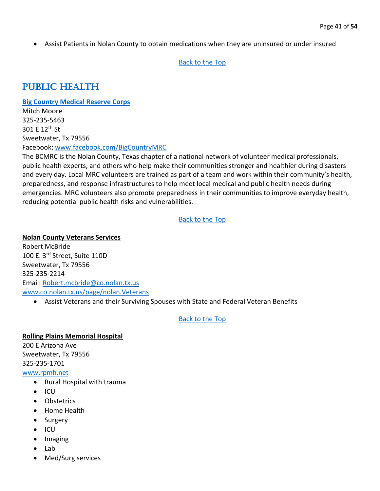• Assist Patients in Nolan County to obtain medications when they are uninsured or under insured

#### [Back to the Top](#page-1-0)

### <span id="page-40-0"></span>[Public Health](#page-40-0)

#### <span id="page-40-1"></span>**[Big Country Medical Reserve Corps](#page-40-1)**

Mitch Moore 325-235-5463 301 E 12th St Sweetwater, Tx 79556 Facebook: [www.facebook.com/BigCountryMRC](http://www.facebook.com/BigCountryMRC)

The BCMRC is the Nolan County, Texas chapter of a national network of volunteer medical professionals, public health experts, and others who help make their communities stronger and healthier during disasters and every day. Local MRC volunteers are trained as part of a team and work within their community's health, preparedness, and response infrastructures to help meet local medical and public health needs during emergencies. MRC volunteers also promote preparedness in their communities to improve everyday health, reducing potential public health risks and vulnerabilities.

#### [Back to the Top](#page-1-0)

#### **Nolan County Veterans Services**

Robert McBride 100 E. 3rd Street, Suite 110D Sweetwater, Tx 79556 325-235-2214 Email: [Robert.mcbride@co.nolan.tx.us](mailto:Robert.mcbride@co.nolan.tx.us) [www.co.nolan.tx.us/page/nolan.Veterans](http://www.co.nolan.tx.us/page/nolan.Veterans)

• Assist Veterans and their Surviving Spouses with State and Federal Veteran Benefits

#### [Back to the Top](#page-1-0)

#### **Rolling Plains Memorial Hospital**  200 E Arizona Ave Sweetwater, Tx 79556

325-235-1701

#### [www.rpmh.net](http://www.rpmh.net/)

- Rural Hospital with trauma
- ICU
- Obstetrics
- Home Health
- Surgery
- ICU
- Imaging
- Lab
- Med/Surg services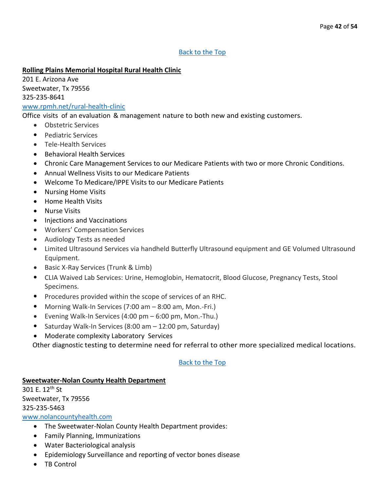#### **Rolling Plains Memorial Hospital Rural Health Clinic**

201 E. Arizona Ave Sweetwater, Tx 79556 325-235-8641

#### [www.rpmh.net/rural-health-clinic](http://www.rpmh.net/rural-health-clinic)

Office visits of an evaluation & management nature to both new and existing customers.

- Obstetric Services
- Pediatric Services
- Tele-Health Services
- Behavioral Health Services
- Chronic Care Management Services to our Medicare Patients with two or more Chronic Conditions.
- Annual Wellness Visits to our Medicare Patients
- Welcome To Medicare/IPPE Visits to our Medicare Patients
- Nursing Home Visits
- Home Health Visits
- Nurse Visits
- Injections and Vaccinations
- Workers' Compensation Services
- Audiology Tests as needed
- Limited Ultrasound Services via handheld Butterfly Ultrasound equipment and GE Volumed Ultrasound Equipment.
- Basic X-Ray Services (Trunk & Limb)
- CLIA Waived Lab Services: Urine, Hemoglobin, Hematocrit, Blood Glucose, Pregnancy Tests, Stool Specimens.
- Procedures provided within the scope of services of an RHC.
- Morning Walk-In Services (7:00 am 8:00 am, Mon.-Fri.)
- Evening Walk-In Services (4:00 pm 6:00 pm, Mon.-Thu.)
- Saturday Walk-In Services (8:00 am 12:00 pm, Saturday)
- Moderate complexity Laboratory Services

Other diagnostic testing to determine need for referral to other more specialized medical locations.

#### [Back to the Top](#page-1-0)

#### **Sweetwater-Nolan County Health Department**

301 E. 12th St Sweetwater, Tx 79556 325-235-5463 [www.nolancountyhealth.com](http://www.nolancountyhealth.com/)

- The Sweetwater-Nolan County Health Department provides:
- Family Planning, Immunizations
- Water Bacteriological analysis
- Epidemiology Surveillance and reporting of vector bones disease
- TB Control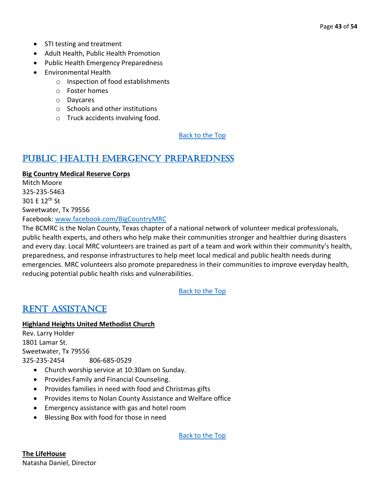- STI testing and treatment
- Adult Health, Public Health Promotion
- Public Health Emergency Preparedness
- Environmental Health
	- o Inspection of food establishments
	- o Foster homes
	- o Daycares
	- o Schools and other institutions
	- o Truck accidents involving food.

### <span id="page-42-0"></span>[Public Health Emergency Preparedness](#page-42-0)

#### **Big Country Medical Reserve Corps**

Mitch Moore 325-235-5463 301 E 12th St Sweetwater, Tx 79556 Facebook: [www.facebook.com/BigCountryMRC](http://www.facebook.com/BigCountryMRC)

The BCMRC is the Nolan County, Texas chapter of a national network of volunteer medical professionals, public health experts, and others who help make their communities stronger and healthier during disasters and every day. Local MRC volunteers are trained as part of a team and work within their community's health, preparedness, and response infrastructures to help meet local medical and public health needs during emergencies. MRC volunteers also promote preparedness in their communities to improve everyday health, reducing potential public health risks and vulnerabilities.

#### [Back to the Top](#page-1-0)

### <span id="page-42-1"></span>[Rent Assistance](#page-42-1)

#### **Highland Heights United Methodist Church**

Rev. Larry Holder 1801 Lamar St. Sweetwater, Tx 79556 325-235-2454 806-685-0529

- Church worship service at 10:30am on Sunday.
- Provides Family and Financial Counseling.
- Provides families in need with food and Christmas gifts
- Provides items to Nolan County Assistance and Welfare office
- Emergency assistance with gas and hotel room
- Blessing Box with food for those in need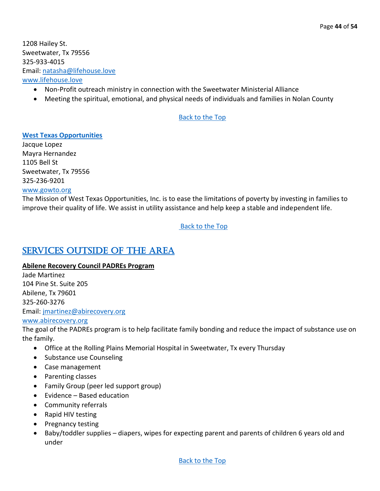#### Email: [natasha@lifehouse.love](mailto:natasha@lifehouse.love)

#### [www.lifehouse.love](http://www.lifehouse.love/)

- Non-Profit outreach ministry in connection with the Sweetwater Ministerial Alliance
- Meeting the spiritual, emotional, and physical needs of individuals and families in Nolan County

#### [Back to the Top](#page-1-0)

#### <span id="page-43-1"></span>**[West Texas Opportunities](#page-43-1)**

Jacque Lopez Mayra Hernandez 1105 Bell St Sweetwater, Tx 79556 325-236-9201 [www.gowto.org](http://www.gowto.org/)

The Mission of West Texas Opportunities, Inc. is to ease the limitations of poverty by investing in families to improve their quality of life. We assist in utility assistance and help keep a stable and independent life.

[Back to the Top](#page-1-0)

### <span id="page-43-0"></span>[Services Outside of the Area](#page-43-0)

#### **Abilene Recovery Council PADREs Program**

Jade Martinez 104 Pine St. Suite 205 Abilene, Tx 79601 325-260-3276 Email: [jmartinez@abirecovery.org](mailto:jmartinez@abirecovery.org) [www.abirecovery.org](http://www.abirecovery.org/)

The goal of the PADREs program is to help facilitate family bonding and reduce the impact of substance use on the family.

- Office at the Rolling Plains Memorial Hospital in Sweetwater, Tx every Thursday
- Substance use Counseling
- Case management
- Parenting classes
- Family Group (peer led support group)
- Evidence Based education
- Community referrals
- Rapid HIV testing
- Pregnancy testing
- Baby/toddler supplies diapers, wipes for expecting parent and parents of children 6 years old and under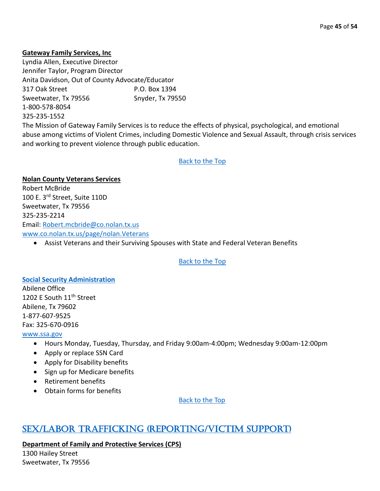#### **Gateway Family Services, Inc**

Lyndia Allen, Executive Director Jennifer Taylor, Program Director Anita Davidson, Out of County Advocate/Educator 317 Oak Street P.O. Box 1394 Sweetwater, Tx 79556 Snyder, Tx 79550 1-800-578-8054 325-235-1552

The Mission of Gateway Family Services is to reduce the effects of physical, psychological, and emotional abuse among victims of Violent Crimes, including Domestic Violence and Sexual Assault, through crisis services and working to prevent violence through public education.

#### [Back to the Top](#page-1-0)

**Nolan County Veterans Services** Robert McBride 100 E. 3rd Street, Suite 110D Sweetwater, Tx 79556 325-235-2214 Email: [Robert.mcbride@co.nolan.tx.us](mailto:Robert.mcbride@co.nolan.tx.us) [www.co.nolan.tx.us/page/nolan.Veterans](http://www.co.nolan.tx.us/page/nolan.Veterans)

• Assist Veterans and their Surviving Spouses with State and Federal Veteran Benefits

#### [Back to the Top](#page-1-0)

#### <span id="page-44-1"></span>**[Social Security Administration](#page-44-1)**

Abilene Office 1202 E South 11<sup>th</sup> Street Abilene, Tx 79602 1-877-607-9525 Fax: 325-670-0916

#### [www.ssa.gov](http://www.ssa.gov/)

- Hours Monday, Tuesday, Thursday, and Friday 9:00am-4:00pm; Wednesday 9:00am-12:00pm
- Apply or replace SSN Card
- Apply for Disability benefits
- Sign up for Medicare benefits
- Retirement benefits
- Obtain forms for benefits

[Back to the Top](#page-1-0) 

### <span id="page-44-0"></span>[Sex/Labor Trafficking \(Reporting/Victim Support\)](#page-44-0)

**Department of Family and Protective Services (CPS)**

1300 Hailey Street Sweetwater, Tx 79556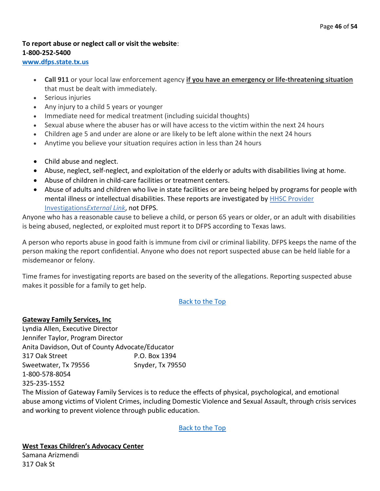#### **To report abuse or neglect call or visit the website**: **1-800-252-5400**

**[www.dfps.state.tx.us](http://www.dfps.state.tx.us/)**

- **Call 911** or your local law enforcement agency **if you have an emergency or life-threatening situation** that must be dealt with immediately.
- Serious injuries
- Any injury to a child 5 years or younger
- Immediate need for medical treatment (including suicidal thoughts)
- Sexual abuse where the abuser has or will have access to the victim within the next 24 hours
- Children age 5 and under are alone or are likely to be left alone within the next 24 hours
- Anytime you believe your situation requires action in less than 24 hours
- Child abuse and neglect.
- Abuse, neglect, self-neglect, and exploitation of the elderly or adults with disabilities living at home.
- Abuse of children in child-care facilities or treatment centers.
- Abuse of adults and children who live in state facilities or are being helped by programs for people with mental illness or intellectual disabilities. These reports are investigated by [HHSC Provider](https://hhs.texas.gov/doing-business-hhs/provider-portals/protective-services-providers/provider-investigations)  [Investigations](https://hhs.texas.gov/doing-business-hhs/provider-portals/protective-services-providers/provider-investigations)*External Link*, not DFPS.

Anyone who has a reasonable cause to believe a child, or person 65 years or older, or an adult with disabilities is being abused, neglected, or exploited must report it to DFPS according to Texas laws.

A person who reports abuse in good faith is immune from civil or criminal liability. DFPS keeps the name of the person making the report confidential. Anyone who does not report suspected abuse can be held liable for a misdemeanor or felony.

Time frames for investigating reports are based on the severity of the allegations. Reporting suspected abuse makes it possible for a family to get help.

**[Back to the Top](#page-1-0)** 

#### **Gateway Family Services, Inc**

Lyndia Allen, Executive Director Jennifer Taylor, Program Director Anita Davidson, Out of County Advocate/Educator 317 Oak Street P.O. Box 1394 Sweetwater, Tx 79556 Snyder, Tx 79550 1-800-578-8054 325-235-1552

The Mission of Gateway Family Services is to reduce the effects of physical, psychological, and emotional abuse among victims of Violent Crimes, including Domestic Violence and Sexual Assault, through crisis services and working to prevent violence through public education.

[Back to the Top](#page-1-0)

**West Texas Children's Advocacy Center** Samana Arizmendi

317 Oak St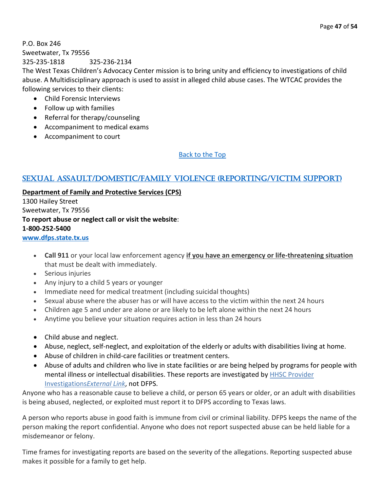P.O. Box 246 Sweetwater, Tx 79556 325-235-1818 325-236-2134

The West Texas Children's Advocacy Center mission is to bring unity and efficiency to investigations of child abuse. A Multidisciplinary approach is used to assist in alleged child abuse cases. The WTCAC provides the following services to their clients:

- Child Forensic Interviews
- Follow up with families
- Referral for therapy/counseling
- Accompaniment to medical exams
- Accompaniment to court

[Back to the Top](#page-1-0) 

#### <span id="page-46-0"></span>[Sexual Assault/Domestic/Family Violence \(Reporting/Victim Support\)](#page-46-0)

**Department of Family and Protective Services (CPS)** 1300 Hailey Street Sweetwater, Tx 79556 **To report abuse or neglect call or visit the website**: **1-800-252-5400**

#### **[www.dfps.state.tx.us](http://www.dfps.state.tx.us/)**

- **Call 911** or your local law enforcement agency **if you have an emergency or life-threatening situation** that must be dealt with immediately.
- Serious injuries
- Any injury to a child 5 years or younger
- Immediate need for medical treatment (including suicidal thoughts)
- Sexual abuse where the abuser has or will have access to the victim within the next 24 hours
- Children age 5 and under are alone or are likely to be left alone within the next 24 hours
- Anytime you believe your situation requires action in less than 24 hours
- Child abuse and neglect.
- Abuse, neglect, self-neglect, and exploitation of the elderly or adults with disabilities living at home.
- Abuse of children in child-care facilities or treatment centers.
- Abuse of adults and children who live in state facilities or are being helped by programs for people with mental illness or intellectual disabilities. These reports are investigated by [HHSC Provider](https://hhs.texas.gov/doing-business-hhs/provider-portals/protective-services-providers/provider-investigations)  [Investigations](https://hhs.texas.gov/doing-business-hhs/provider-portals/protective-services-providers/provider-investigations)*External Link*, not DFPS.

Anyone who has a reasonable cause to believe a child, or person 65 years or older, or an adult with disabilities is being abused, neglected, or exploited must report it to DFPS according to Texas laws.

A person who reports abuse in good faith is immune from civil or criminal liability. DFPS keeps the name of the person making the report confidential. Anyone who does not report suspected abuse can be held liable for a misdemeanor or felony.

Time frames for investigating reports are based on the severity of the allegations. Reporting suspected abuse makes it possible for a family to get help.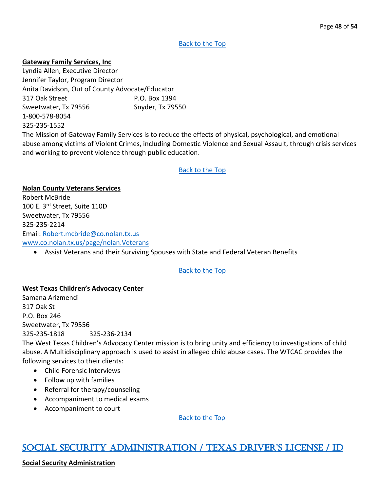#### **Gateway Family Services, Inc**

Lyndia Allen, Executive Director Jennifer Taylor, Program Director Anita Davidson, Out of County Advocate/Educator 317 Oak Street P.O. Box 1394 Sweetwater, Tx 79556 Snyder, Tx 79550 1-800-578-8054 325-235-1552

The Mission of Gateway Family Services is to reduce the effects of physical, psychological, and emotional abuse among victims of Violent Crimes, including Domestic Violence and Sexual Assault, through crisis services and working to prevent violence through public education.

#### [Back to the Top](#page-1-0)

**Nolan County Veterans Services** Robert McBride 100 E. 3rd Street, Suite 110D Sweetwater, Tx 79556 325-235-2214 Email: [Robert.mcbride@co.nolan.tx.us](mailto:Robert.mcbride@co.nolan.tx.us) [www.co.nolan.tx.us/page/nolan.Veterans](http://www.co.nolan.tx.us/page/nolan.Veterans)

• Assist Veterans and their Surviving Spouses with State and Federal Veteran Benefits

#### [Back to the Top](#page-1-0)

#### **West Texas Children's Advocacy Center**

Samana Arizmendi 317 Oak St P.O. Box 246 Sweetwater, Tx 79556 325-235-1818 325-236-2134

The West Texas Children's Advocacy Center mission is to bring unity and efficiency to investigations of child abuse. A Multidisciplinary approach is used to assist in alleged child abuse cases. The WTCAC provides the following services to their clients:

- Child Forensic Interviews
- Follow up with families
- Referral for therapy/counseling
- Accompaniment to medical exams
- Accompaniment to court

[Back to the Top](#page-1-0) 

### <span id="page-47-0"></span>[Social Security Administration /](#page-47-0) Texas Driver's License / ID

#### **Social Security Administration**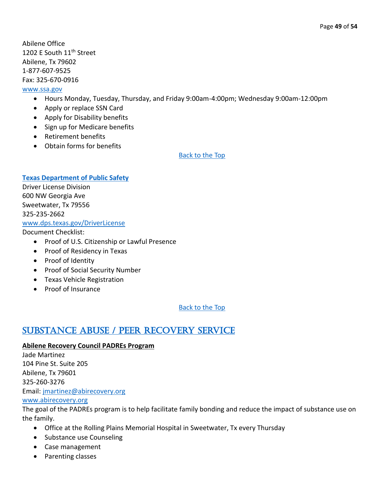Abilene Office 1202 E South 11<sup>th</sup> Street Abilene, Tx 79602 1-877-607-9525 Fax: 325-670-0916

#### [www.ssa.gov](http://www.ssa.gov/)

- Hours Monday, Tuesday, Thursday, and Friday 9:00am-4:00pm; Wednesday 9:00am-12:00pm
- Apply or replace SSN Card
- Apply for Disability benefits
- Sign up for Medicare benefits
- Retirement benefits
- Obtain forms for benefits

[Back to the Top](#page-1-0) 

#### <span id="page-48-1"></span>**[Texas Department of Public Safety](#page-48-1)**

Driver License Division 600 NW Georgia Ave Sweetwater, Tx 79556 325-235-2662 [www.dps.texas.gov/DriverLicense](http://www.dps.texas.gov/DriverLicense)

Document Checklist:

- Proof of U.S. Citizenship or Lawful Presence
- Proof of Residency in Texas
- Proof of Identity
- Proof of Social Security Number
- Texas Vehicle Registration
- Proof of Insurance

[Back to the Top](#page-1-0) 

### <span id="page-48-0"></span>[Substance Abuse / Peer Recovery Service](#page-48-0)

#### **Abilene Recovery Council PADREs Program**

Jade Martinez 104 Pine St. Suite 205 Abilene, Tx 79601 325-260-3276 Email: [jmartinez@abirecovery.org](mailto:jmartinez@abirecovery.org)

#### [www.abirecovery.org](http://www.abirecovery.org/)

The goal of the PADREs program is to help facilitate family bonding and reduce the impact of substance use on the family.

- Office at the Rolling Plains Memorial Hospital in Sweetwater, Tx every Thursday
- Substance use Counseling
- Case management
- Parenting classes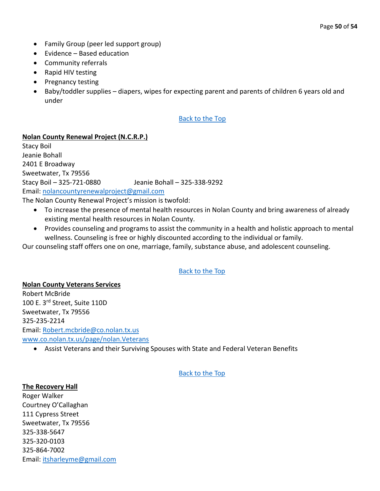- Family Group (peer led support group)
- Evidence Based education
- Community referrals
- Rapid HIV testing
- Pregnancy testing
- Baby/toddler supplies diapers, wipes for expecting parent and parents of children 6 years old and under

#### **Nolan County Renewal Project (N.C.R.P.)**

Stacy Boil Jeanie Bohall 2401 E Broadway Sweetwater, Tx 79556 Stacy Boil – 325-721-0880 Jeanie Bohall – 325-338-9292 Email: [nolancountyrenewalproject@gmail.com](mailto:nolancountyrenewalproject@gmail.com) The Nolan County Renewal Project's mission is twofold:

- To increase the presence of mental health resources in Nolan County and bring awareness of already existing mental health resources in Nolan County.
- Provides counseling and programs to assist the community in a health and holistic approach to mental wellness. Counseling is free or highly discounted according to the individual or family.

Our counseling staff offers one on one, marriage, family, substance abuse, and adolescent counseling.

#### [Back to the Top](#page-1-0)

**Nolan County Veterans Services** Robert McBride 100 E. 3rd Street, Suite 110D Sweetwater, Tx 79556 325-235-2214 Email: [Robert.mcbride@co.nolan.tx.us](mailto:Robert.mcbride@co.nolan.tx.us) [www.co.nolan.tx.us/page/nolan.Veterans](http://www.co.nolan.tx.us/page/nolan.Veterans)

• Assist Veterans and their Surviving Spouses with State and Federal Veteran Benefits

#### [Back to the Top](#page-1-0)

#### **The Recovery Hall**

Roger Walker Courtney O'Callaghan 111 Cypress Street Sweetwater, Tx 79556 325-338-5647 325-320-0103 325-864-7002 Email: [itsharleyme@gmail.com](mailto:itsharleyme@gmail.com)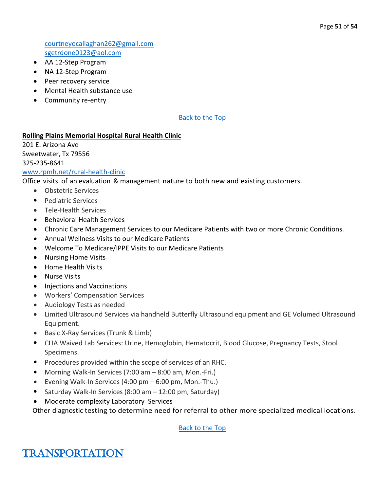[courtneyocallaghan262@gmail.com](mailto:courtneyocallaghan262@gmail.com) [sgetrdone0123@aol.com](mailto:sgetrdone0123@aol.com)

- AA 12-Step Program
- NA 12-Step Program
- Peer recovery service
- Mental Health substance use
- Community re-entry

#### [Back to the Top](#page-1-0)

#### **Rolling Plains Memorial Hospital Rural Health Clinic**

201 E. Arizona Ave Sweetwater, Tx 79556 325-235-8641 [www.rpmh.net/rural-health-clinic](http://www.rpmh.net/rural-health-clinic)

Office visits of an evaluation & management nature to both new and existing customers.

- Obstetric Services
- Pediatric Services
- Tele-Health Services
- Behavioral Health Services
- Chronic Care Management Services to our Medicare Patients with two or more Chronic Conditions.
- Annual Wellness Visits to our Medicare Patients
- Welcome To Medicare/IPPE Visits to our Medicare Patients
- Nursing Home Visits
- Home Health Visits
- Nurse Visits
- Injections and Vaccinations
- Workers' Compensation Services
- Audiology Tests as needed
- Limited Ultrasound Services via handheld Butterfly Ultrasound equipment and GE Volumed Ultrasound Equipment.
- Basic X-Ray Services (Trunk & Limb)
- CLIA Waived Lab Services: Urine, Hemoglobin, Hematocrit, Blood Glucose, Pregnancy Tests, Stool Specimens.
- Procedures provided within the scope of services of an RHC.
- Morning Walk-In Services (7:00 am 8:00 am, Mon.-Fri.)
- Evening Walk-In Services (4:00 pm 6:00 pm, Mon.-Thu.)
- Saturday Walk-In Services (8:00 am 12:00 pm, Saturday)
- Moderate complexity Laboratory Services

Other diagnostic testing to determine need for referral to other more specialized medical locations.

<span id="page-50-0"></span>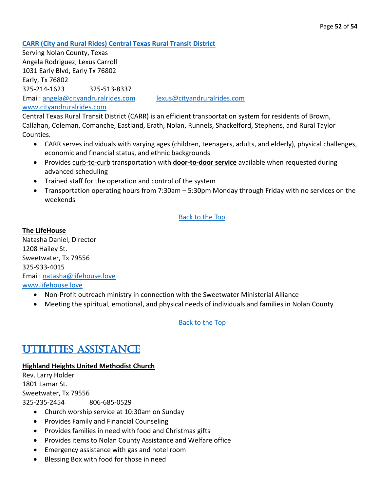<span id="page-51-1"></span>**[CARR \(City and Rural Rides\) Central Texas Rural Transit District](#page-51-1)**

Serving Nolan County, Texas Angela Rodriguez, Lexus Carroll 1031 Early Blvd, Early Tx 76802 Early, Tx 76802 325-214-1623 325-513-8337 Email: [angela@cityandruralrides.com](mailto:angela@cityandruralrides.com) [lexus@cityandruralrides.com](mailto:lexus@cityandruralrides.com) [www.cityandruralrides.com](http://www.cityandruralrides.com/)

Central Texas Rural Transit District (CARR) is an efficient transportation system for residents of Brown, Callahan, Coleman, Comanche, Eastland, Erath, Nolan, Runnels, Shackelford, Stephens, and Rural Taylor Counties.

- CARR serves individuals with varying ages (children, teenagers, adults, and elderly), physical challenges, economic and financial status, and ethnic backgrounds
- Provides curb-to-curb transportation with **door-to-door service** available when requested during advanced scheduling
- Trained staff for the operation and control of the system
- Transportation operating hours from 7:30am 5:30pm Monday through Friday with no services on the weekends

[Back to the Top](#page-1-0) 

**The LifeHouse** Natasha Daniel, Director 1208 Hailey St. Sweetwater, Tx 79556 325-933-4015 Email: [natasha@lifehouse.love](mailto:natasha@lifehouse.love) [www.lifehouse.love](http://www.lifehouse.love/)

- Non-Profit outreach ministry in connection with the Sweetwater Ministerial Alliance
- Meeting the spiritual, emotional, and physical needs of individuals and families in Nolan County

[Back to the Top](#page-1-0)

### <span id="page-51-0"></span>[Utilities Assistance](#page-51-0)

#### **Highland Heights United Methodist Church**

Rev. Larry Holder 1801 Lamar St. Sweetwater, Tx 79556 325-235-2454 806-685-0529

- Church worship service at 10:30am on Sunday
- Provides Family and Financial Counseling
- Provides families in need with food and Christmas gifts
- Provides items to Nolan County Assistance and Welfare office
- Emergency assistance with gas and hotel room
- Blessing Box with food for those in need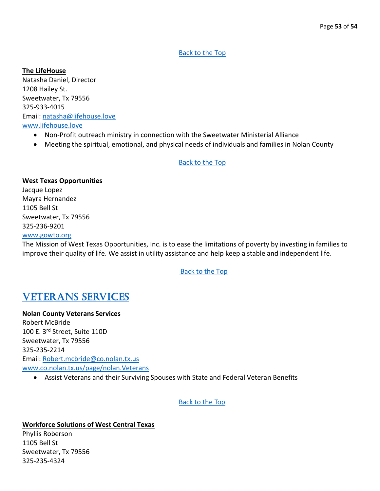#### **The LifeHouse**

Natasha Daniel, Director 1208 Hailey St. Sweetwater, Tx 79556 325-933-4015 Email: [natasha@lifehouse.love](mailto:natasha@lifehouse.love) [www.lifehouse.love](http://www.lifehouse.love/)

- Non-Profit outreach ministry in connection with the Sweetwater Ministerial Alliance
- Meeting the spiritual, emotional, and physical needs of individuals and families in Nolan County

#### [Back to the Top](#page-1-0)

#### **West Texas Opportunities**

Jacque Lopez Mayra Hernandez 1105 Bell St Sweetwater, Tx 79556 325-236-9201

#### [www.gowto.org](http://www.gowto.org/)

The Mission of West Texas Opportunities, Inc. is to ease the limitations of poverty by investing in families to improve their quality of life. We assist in utility assistance and help keep a stable and independent life.

#### [Back to the Top](#page-1-0)

### <span id="page-52-0"></span>[Veterans Services](#page-52-0)

#### **Nolan County Veterans Services**

Robert McBride 100 E. 3rd Street, Suite 110D Sweetwater, Tx 79556 325-235-2214 Email: [Robert.mcbride@co.nolan.tx.us](mailto:Robert.mcbride@co.nolan.tx.us) [www.co.nolan.tx.us/page/nolan.Veterans](http://www.co.nolan.tx.us/page/nolan.Veterans)

• Assist Veterans and their Surviving Spouses with State and Federal Veteran Benefits

[Back to the Top](#page-1-0) 

#### **Workforce Solutions of West Central Texas**

Phyllis Roberson 1105 Bell St Sweetwater, Tx 79556 325-235-4324